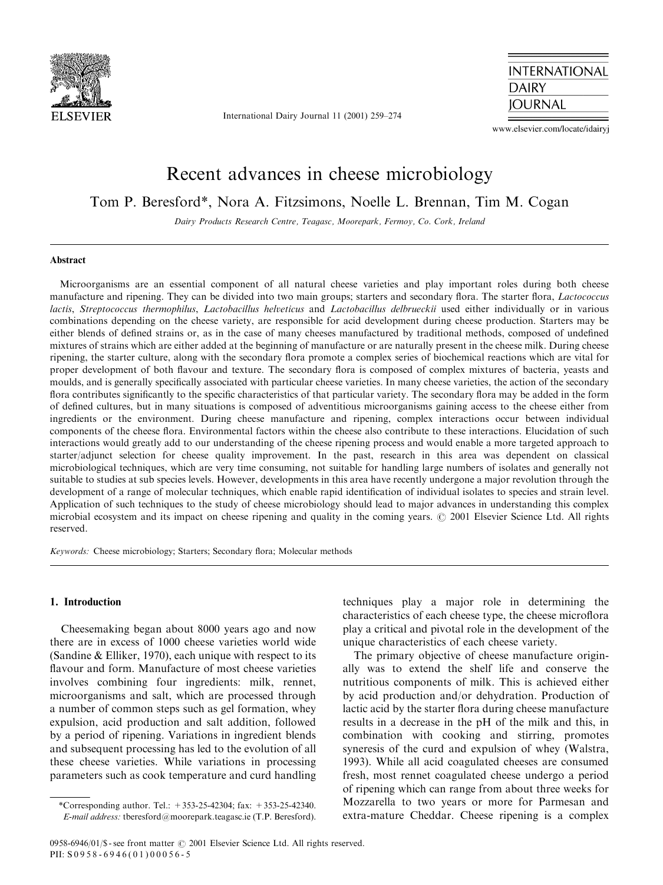

International Dairy Journal 11 (2001) 259–274

**INTERNATIONAL DAIRY JOURNAL** 

www.elsevier.com/locate/idairyj

# Recent advances in cheese microbiology

Tom P. Beresford\*, Nora A. Fitzsimons, Noelle L. Brennan, Tim M. Cogan

Dairy Products Research Centre, Teagasc, Moorepark, Fermoy, Co. Cork, Ireland

#### **Abstract**

Microorganisms are an essential component of all natural cheese varieties and play important roles during both cheese manufacture and ripening. They can be divided into two main groups; starters and secondary flora. The starter flora, Lactococcus lactis, Streptococcus thermophilus, Lactobacillus helveticus and Lactobacillus delbrueckii used either individually or in various combinations depending on the cheese variety, are responsible for acid development during cheese production. Starters may be either blends of defined strains or, as in the case of many cheeses manufactured by traditional methods, composed of undefined mixtures of strains which are either added at the beginning of manufacture or are naturally present in the cheese milk. During cheese ripening, the starter culture, along with the secondary flora promote a complex series of biochemical reactions which are vital for proper development of both flavour and texture. The secondary flora is composed of complex mixtures of bacteria, yeasts and moulds, and is generally specifically associated with particular cheese varieties. In many cheese varieties, the action of the secondary flora contributes significantly to the specific characteristics of that particular variety. The secondary flora may be added in the form of defined cultures, but in many situations is composed of adventitious microorganisms gaining access to the cheese either from ingredients or the environment. During cheese manufacture and ripening, complex interactions occur between individual components of the cheese flora. Environmental factors within the cheese also contribute to these interactions. Elucidation of such interactions would greatly add to our understanding of the cheese ripening process and would enable a more targeted approach to starter/adjunct selection for cheese quality improvement. In the past, research in this area was dependent on classical microbiological techniques, which are very time consuming, not suitable for handling large numbers of isolates and generally not suitable to studies at sub species levels. However, developments in this area have recently undergone a major revolution through the development of a range of molecular techniques, which enable rapid identification of individual isolates to species and strain level. Application of such techniques to the study of cheese microbiology should lead to major advances in understanding this complex microbial ecosystem and its impact on cheese ripening and quality in the coming years. © 2001 Elsevier Science Ltd. All rights reserved.

Keywords: Cheese microbiology; Starters; Secondary flora; Molecular methods

#### 1. Introduction

Cheesemaking began about 8000 years ago and now there are in excess of 1000 cheese varieties world wide (Sandine & Elliker, 1970), each unique with respect to its flavour and form. Manufacture of most cheese varieties involves combining four ingredients: milk, rennet, microorganisms and salt, which are processed through a number of common steps such as gel formation, whey expulsion, acid production and salt addition, followed by a period of ripening. Variations in ingredient blends and subsequent processing has led to the evolution of all these cheese varieties. While variations in processing parameters such as cook temperature and curd handling techniques play a major role in determining the characteristics of each cheese type, the cheese microflora play a critical and pivotal role in the development of the unique characteristics of each cheese variety.

The primary objective of cheese manufacture originally was to extend the shelf life and conserve the nutritious components of milk. This is achieved either by acid production and/or dehydration. Production of lactic acid by the starter flora during cheese manufacture results in a decrease in the pH of the milk and this, in combination with cooking and stirring, promotes syneresis of the curd and expulsion of whey (Walstra, 1993). While all acid coagulated cheeses are consumed fresh, most rennet coagulated cheese undergo a period of ripeningwhich can range from about three weeks for Mozzarella to two years or more for Parmesan and extra-mature Cheddar. Cheese ripening is a complex

<sup>\*</sup>Corresponding author. Tel.:  $+353-25-42304$ ; fax:  $+353-25-42340$ . E-mail address: tberesford@moorepark.teagasc.ie (T.P. Beresford).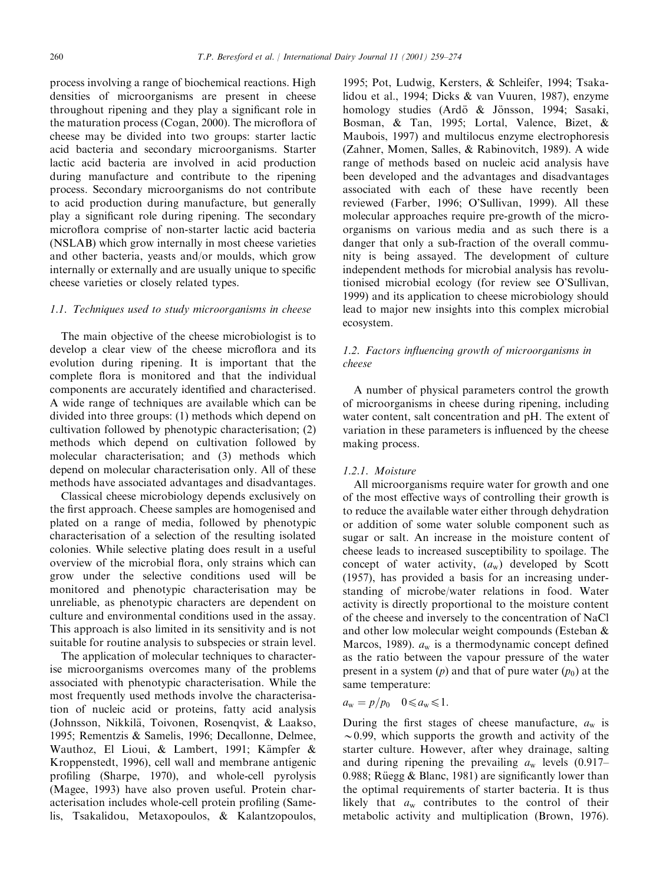process involving a range of biochemical reactions. High densities of microorganisms are present in cheese throughout ripening and they play a significant role in the maturation process (Cogan, 2000). The microflora of cheese may be divided into two groups: starter lactic acid bacteria and secondary microorganisms. Starter lactic acid bacteria are involved in acid production during manufacture and contribute to the ripening process. Secondary microorganisms do not contribute to acid production during manufacture, but generally play a significant role during ripening. The secondary microflora comprise of non-starter lactic acid bacteria (NSLAB) which grow internally in most cheese varieties and other bacteria, yeasts and/or moulds, which grow internally or externally and are usually unique to specific cheese varieties or closely related types.

#### 1.1. Techniques used to study microorganisms in cheese

The main objective of the cheese microbiologist is to develop a clear view of the cheese microflora and its evolution during ripening. It is important that the complete flora is monitored and that the individual components are accurately identified and characterised. A wide range of techniques are available which can be divided into three groups: (1) methods which depend on cultivation followed by phenotypic characterisation; (2) methods which depend on cultivation followed by molecular characterisation; and (3) methods which depend on molecular characterisation only. All of these methods have associated advantages and disadvantages.

Classical cheese microbiology depends exclusively on the first approach. Cheese samples are homogenised and plated on a range of media, followed by phenotypic characterisation of a selection of the resulting isolated colonies. While selective plating does result in a useful overview of the microbial flora, only strains which can grow under the selective conditions used will be monitored and phenotypic characterisation may be unreliable, as phenotypic characters are dependent on culture and environmental conditions used in the assay. This approach is also limited in its sensitivity and is not suitable for routine analysis to subspecies or strain level.

The application of molecular techniques to characterise microorganisms overcomes many of the problems associated with phenotypic characterisation. While the most frequently used methods involve the characterisation of nucleic acid or proteins, fatty acid analysis (Johnsson, Nikkila, Toivonen, Rosenqvist, & Laakso, . 1995; Rementzis & Samelis, 1996; Decallonne, Delmee, Wauthoz, El Lioui, & Lambert, 1991; Kämpfer & Kroppenstedt, 1996), cell wall and membrane antigenic profiling(Sharpe, 1970), and whole-cell pyrolysis (Magee, 1993) have also proven useful. Protein characterisation includes whole-cell protein profiling(Samelis, Tsakalidou, Metaxopoulos, & Kalantzopoulos,

1995; Pot, Ludwig, Kersters, & Schleifer, 1994; Tsakalidou et al., 1994; Dicks & van Vuuren, 1987), enzyme homology studies (Ardö & Jönsson, 1994; Sasaki, Bosman, & Tan, 1995; Lortal, Valence, Bizet, & Maubois, 1997) and multilocus enzyme electrophoresis (Zahner, Momen, Salles, & Rabinovitch, 1989). A wide range of methods based on nucleic acid analysis have been developed and the advantages and disadvantages associated with each of these have recently been reviewed (Farber, 1996; O'Sullivan, 1999). All these molecular approaches require pre-growth of the microorganisms on various media and as such there is a danger that only a sub-fraction of the overall community is being assayed. The development of culture independent methods for microbial analysis has revolutionised microbial ecology (for review see O'Sullivan, 1999) and its application to cheese microbiology should lead to major new insights into this complex microbial ecosystem.

# 1.2. Factors influencing growth of microorganisms in cheese

A number of physical parameters control the growth of microorganisms in cheese during ripening, including water content, salt concentration and pH. The extent of variation in these parameters is influenced by the cheese making process.

#### 1.2.1. Moisture

All microorganisms require water for growth and one of the most effective ways of controlling their growth is to reduce the available water either through dehydration or addition of some water soluble component such as sugar or salt. An increase in the moisture content of cheese leads to increased susceptibility to spoilage. The concept of water activity,  $(a_w)$  developed by Scott  $(1957)$ , has provided a basis for an increasing understanding of microbe/water relations in food. Water activity is directly proportional to the moisture content of the cheese and inversely to the concentration of NaCl and other low molecular weight compounds (Esteban & Marcos, 1989).  $a_w$  is a thermodynamic concept defined as the ratio between the vapour pressure of the water present in a system  $(p)$  and that of pure water  $(p_0)$  at the same temperature:

# $a_w = p/p_0 \quad 0 \leq a_w \leq 1.$

During the first stages of cheese manufacture,  $a_w$  is  $\sim$  0.99, which supports the growth and activity of the starter culture. However, after whey drainage, salting and during ripening the prevailing  $a_w$  levels (0.917– 0.988; Rüegg & Blanc, 1981) are significantly lower than the optimal requirements of starter bacteria. It is thus likely that  $a_w$  contributes to the control of their metabolic activity and multiplication (Brown, 1976).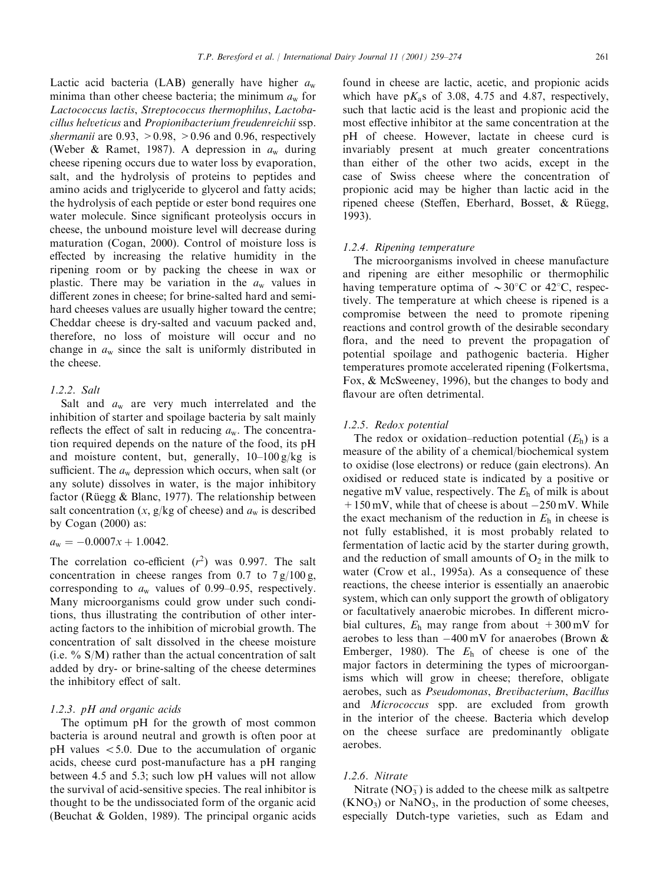Lactic acid bacteria (LAB) generally have higher  $a_w$ minima than other cheese bacteria; the minimum  $a<sub>w</sub>$  for Lactococcus lactis, Streptococcus thermophilus, Lactobacillus helveticus and Propionibacterium freudenreichii ssp. shermanii are  $0.93$ ,  $>0.98$ ,  $>0.96$  and 0.96, respectively (Weber & Ramet, 1987). A depression in  $a_w$  during cheese ripening occurs due to water loss by evaporation, salt, and the hydrolysis of proteins to peptides and amino acids and triglyceride to glycerol and fatty acids; the hydrolysis of each peptide or ester bond requires one water molecule. Since significant proteolysis occurs in cheese, the unbound moisture level will decrease during maturation (Cogan, 2000). Control of moisture loss is effected by increasing the relative humidity in the ripening room or by packing the cheese in wax or plastic. There may be variation in the  $a_w$  values in different zones in cheese; for brine-salted hard and semihard cheeses values are usually higher toward the centre; Cheddar cheese is dry-salted and vacuum packed and, therefore, no loss of moisture will occur and no change in  $a_w$  since the salt is uniformly distributed in the cheese.

## 1.2.2. Salt

Salt and  $a_w$  are very much interrelated and the inhibition of starter and spoilage bacteria by salt mainly reflects the effect of salt in reducing  $a_w$ . The concentration required depends on the nature of the food, its pH and moisture content, but, generally,  $10-100 \text{ g/kg}$  is sufficient. The  $a_w$  depression which occurs, when salt (or any solute) dissolves in water, is the major inhibitory factor (Rüegg & Blanc, 1977). The relationship between salt concentration  $(x, g/kg)$  of cheese) and  $a_w$  is described by Cogan (2000) as:

# $a_{\rm w} = -0.0007x + 1.0042.$

The correlation co-efficient  $(r^2)$  was 0.997. The salt concentration in cheese ranges from 0.7 to  $7 g/100 g$ , corresponding to  $a_w$  values of 0.99–0.95, respectively. Many microorganisms could grow under such conditions, thus illustrating the contribution of other interacting factors to the inhibition of microbial growth. The concentration of salt dissolved in the cheese moisture (i.e.  $\%$  S/M) rather than the actual concentration of salt added by dry- or brine-salting of the cheese determines the inhibitory effect of salt.

#### 1.2.3. pH and organic acids

The optimum pH for the growth of most common bacteria is around neutral and growth is often poor at  $pH$  values  $\lt$  5.0. Due to the accumulation of organic acids, cheese curd post-manufacture has a pH ranging between 4.5 and 5.3; such low pH values will not allow the survival of acid-sensitive species. The real inhibitor is thought to be the undissociated form of the organic acid (Beuchat & Golden, 1989). The principal organic acids found in cheese are lactic, acetic, and propionic acids which have  $pK_a$ s of 3.08, 4.75 and 4.87, respectively, such that lactic acid is the least and propionic acid the most effective inhibitor at the same concentration at the pH of cheese. However, lactate in cheese curd is invariably present at much greater concentrations than either of the other two acids, except in the case of Swiss cheese where the concentration of propionic acid may be higher than lactic acid in the ripened cheese (Steffen, Eberhard, Bosset, & Rüegg, 1993).

#### 1.2.4. Ripening temperature

The microorganisms involved in cheese manufacture and ripening are either mesophilic or thermophilic having temperature optima of  $\sim 30^{\circ}$ C or 42<sup>o</sup>C, respectively. The temperature at which cheese is ripened is a compromise between the need to promote ripening reactions and control growth of the desirable secondary flora, and the need to prevent the propagation of potential spoilage and pathogenic bacteria. Higher temperatures promote accelerated ripening(Folkertsma, Fox, & McSweeney, 1996), but the changes to body and flavour are often detrimental.

#### 1.2.5. Redox potential

The redox or oxidation–reduction potential  $(E_h)$  is a measure of the ability of a chemical/biochemical system to oxidise (lose electrons) or reduce (gain electrons). An oxidised or reduced state is indicated by a positive or negative mV value, respectively. The  $E_h$  of milk is about  $+150$  mV, while that of cheese is about  $-250$  mV. While the exact mechanism of the reduction in  $E<sub>h</sub>$  in cheese is not fully established, it is most probably related to fermentation of lactic acid by the starter during growth, and the reduction of small amounts of  $O_2$  in the milk to water (Crow et al., 1995a). As a consequence of these reactions, the cheese interior is essentially an anaerobic system, which can only support the growth of obligatory or facultatively anaerobic microbes. In different microbial cultures,  $E_h$  may range from about  $+300 \text{ mV}$  for aerobes to less than -400 mV for anaerobes (Brown & Emberger, 1980). The  $E_h$  of cheese is one of the major factors in determining the types of microorganisms which will grow in cheese; therefore, obligate aerobes, such as Pseudomonas, Brevibacterium, Bacillus and Micrococcus spp. are excluded from growth in the interior of the cheese. Bacteria which develop on the cheese surface are predominantly obligate aerobes.

## 1.2.6. Nitrate

Nitrate  $(NO<sub>3</sub><sup>-</sup>)$  is added to the cheese milk as saltpetre  $(KNO<sub>3</sub>)$  or NaNO<sub>3</sub>, in the production of some cheeses, especially Dutch-type varieties, such as Edam and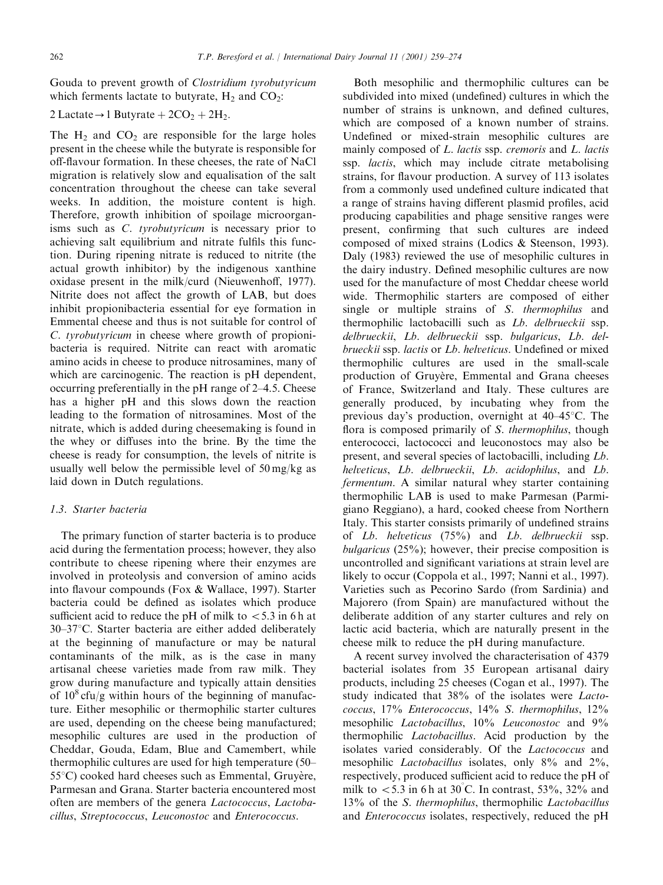Gouda to prevent growth of Clostridium tyrobutyricum which ferments lactate to butyrate,  $H_2$  and  $CO_2$ :

# 2 Lactate  $\rightarrow$  1 Butyrate + 2CO<sub>2</sub> + 2H<sub>2</sub>.

The  $H_2$  and  $CO_2$  are responsible for the large holes present in the cheese while the butyrate is responsible for off-flavour formation. In these cheeses, the rate of NaCl migration is relatively slow and equalisation of the salt concentration throughout the cheese can take several weeks. In addition, the moisture content is high. Therefore, growth inhibition of spoilage microorganisms such as C. tyrobutyricum is necessary prior to achieving salt equilibrium and nitrate fulfils this function. During ripening nitrate is reduced to nitrite (the actual growth inhibitor) by the indigenous xanthine oxidase present in the milk/curd (Nieuwenhoff, 1977). Nitrite does not affect the growth of LAB, but does inhibit propionibacteria essential for eye formation in Emmental cheese and thus is not suitable for control of C. tyrobutyricum in cheese where growth of propionibacteria is required. Nitrite can react with aromatic amino acids in cheese to produce nitrosamines, many of which are carcinogenic. The reaction is pH dependent, occurring preferentially in the pH range of 2–4.5. Cheese has a higher pH and this slows down the reaction leading to the formation of nitrosamines. Most of the nitrate, which is added during cheesemaking is found in the whey or diffuses into the brine. By the time the cheese is ready for consumption, the levels of nitrite is usually well below the permissible level of 50 mg/kg as laid down in Dutch regulations.

### 1.3. Starter bacteria

The primary function of starter bacteria is to produce acid during the fermentation process; however, they also contribute to cheese ripening where their enzymes are involved in proteolysis and conversion of amino acids into flavour compounds (Fox & Wallace, 1997). Starter bacteria could be defined as isolates which produce sufficient acid to reduce the pH of milk to  $<$  5.3 in 6 h at  $30-37$ °C. Starter bacteria are either added deliberately at the beginning of manufacture or may be natural contaminants of the milk, as is the case in many artisanal cheese varieties made from raw milk. They grow during manufacture and typically attain densities of  $10^8$  cfu/g within hours of the beginning of manufacture. Either mesophilic or thermophilic starter cultures are used, depending on the cheese being manufactured; mesophilic cultures are used in the production of Cheddar, Gouda, Edam, Blue and Camembert, while thermophilic cultures are used for high temperature (50–  $55^{\circ}$ C) cooked hard cheeses such as Emmental, Gruyère, Parmesan and Grana. Starter bacteria encountered most often are members of the genera Lactococcus, Lactobacillus, Streptococcus, Leuconostoc and Enterococcus.

Both mesophilic and thermophilic cultures can be subdivided into mixed (undefined) cultures in which the number of strains is unknown, and defined cultures, which are composed of a known number of strains. Undefined or mixed-strain mesophilic cultures are mainly composed of L. lactis ssp. cremoris and L. lactis ssp. lactis, which may include citrate metabolising strains, for flavour production. A survey of 113 isolates from a commonly used undefined culture indicated that a range of strains having different plasmid profiles, acid producing capabilities and phage sensitive ranges were present, confirming that such cultures are indeed composed of mixed strains (Lodics & Steenson, 1993). Daly (1983) reviewed the use of mesophilic cultures in the dairy industry. Defined mesophilic cultures are now used for the manufacture of most Cheddar cheese world wide. Thermophilic starters are composed of either single or multiple strains of S. thermophilus and thermophilic lactobacilli such as Lb. delbrueckii ssp. delbrueckii, Lb. delbrueckii ssp. bulgaricus, Lb. delbrueckii ssp. lactis or Lb. helveticus. Undefined or mixed thermophilic cultures are used in the small-scale production of Gruyère, Emmental and Grana cheeses of France, Switzerland and Italy. These cultures are generally produced, by incubating whey from the previous day's production, overnight at  $40-45^{\circ}$ C. The flora is composed primarily of S. *thermophilus*, though enterococci, lactococci and leuconostocs may also be present, and several species of lactobacilli, including Lb. helveticus, Lb. delbrueckii, Lb. acidophilus, and Lb. fermentum. A similar natural whey starter containing thermophilic LAB is used to make Parmesan (Parmigiano Reggiano), a hard, cooked cheese from Northern Italy. This starter consists primarily of undefined strains of Lb. helveticus (75%) and Lb. delbrueckii ssp. bulgaricus (25%); however, their precise composition is uncontrolled and significant variations at strain level are likely to occur (Coppola et al., 1997; Nanni et al., 1997). Varieties such as Pecorino Sardo (from Sardinia) and Majorero (from Spain) are manufactured without the deliberate addition of any starter cultures and rely on lactic acid bacteria, which are naturally present in the cheese milk to reduce the pH during manufacture.

A recent survey involved the characterisation of 4379 bacterial isolates from 35 European artisanal dairy products, including25 cheeses (Cogan et al., 1997). The study indicated that 38% of the isolates were Lactococcus, 17% Enterococcus, 14% S. thermophilus, 12% mesophilic Lactobacillus, 10% Leuconostoc and 9% thermophilic Lactobacillus. Acid production by the isolates varied considerably. Of the Lactococcus and mesophilic Lactobacillus isolates, only 8% and 2%, respectively, produced sufficient acid to reduce the pH of milk to  $\lt 5.3$  in 6 h at 30°C. In contrast, 53%, 32% and 13% of the S. thermophilus, thermophilic Lactobacillus and Enterococcus isolates, respectively, reduced the pH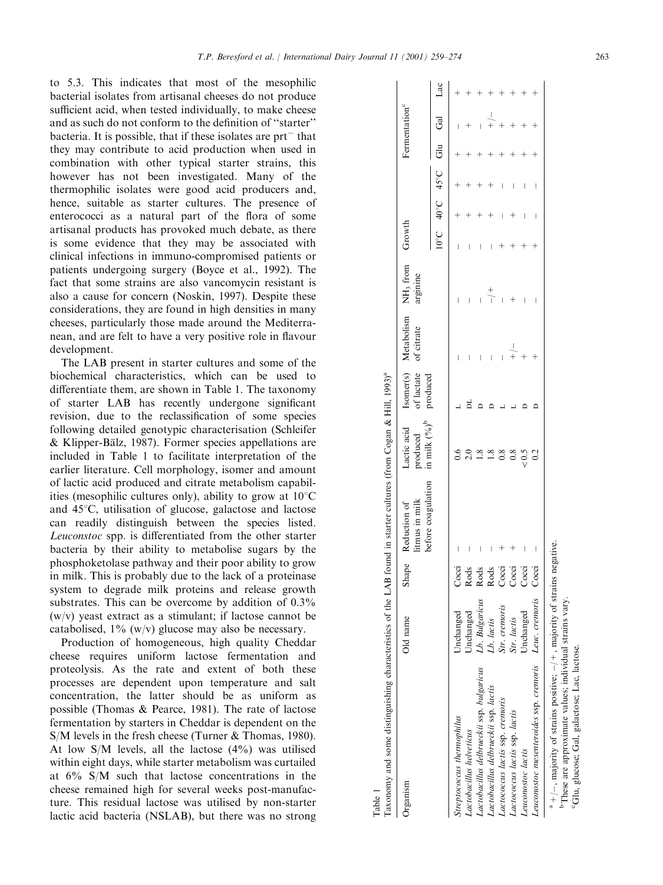to 5.3. This indicates that most of the mesophilic bacterial isolates from artisanal cheeses do not produce sufficient acid, when tested individually, to make cheese and as such do not conform to the definition of ''starter'' bacteria. It is possible, that if these isolates are prt<sup>-</sup> that they may contribute to acid production when used in combination with other typical starter strains, this however has not been investigated. Many of the thermophilic isolates were good acid producers and, hence, suitable as starter cultures. The presence of enterococci as a natural part of the flora of some artisanal products has provoked much debate, as there is some evidence that they may be associated with clinical infections in immuno-compromised patients or patients undergoing surgery (Boyce et al., 1992). The fact that some strains are also vancomycin resistant is also a cause for concern (Noskin, 1997). Despite these considerations, they are found in high densities in many cheeses, particularly those made around the Mediterranean, and are felt to have a very positive role in flavour development.

The LAB present in starter cultures and some of the biochemical characteristics, which can be used to differentiate them, are shown in Table 1. The taxonomy of starter LAB has recently undergone significant revision, due to the reclassification of some species following detailed genotypic characterisation (Schleifer  $&$  Klipper-Bälz, 1987). Former species appellations are included in Table 1 to facilitate interpretation of the earlier literature. Cell morphology, isomer and amount of lactic acid produced and citrate metabolism capabilities (mesophilic cultures only), ability to grow at  $10^{\circ}$ C and  $45^{\circ}$ C, utilisation of glucose, galactose and lactose can readily distinguish between the species listed. Leuconstoc spp. is differentiated from the other starter bacteria by their ability to metabolise sugars by the phosphoketolase pathway and their poor ability to grow in milk. This is probably due to the lack of a proteinase system to degrade milk proteins and release growth substrates. This can be overcome by addition of 0.3%  $(w/v)$  yeast extract as a stimulant; if lactose cannot be catabolised,  $1\%$  (w/v) glucose may also be necessary.

Production of homogeneous, high quality Cheddar cheese requires uniform lactose fermentation and proteolysis. As the rate and extent of both these processes are dependent upon temperature and salt concentration, the latter should be as uniform as possible (Thomas & Pearce, 1981). The rate of lactose fermentation by starters in Cheddar is dependent on the S/M levels in the fresh cheese (Turner & Thomas, 1980). At low  $S/M$  levels, all the lactose  $(4\%)$  was utilised within eight days, while starter metabolism was curtailed at 6% S/M such that lactose concentrations in the cheese remained high for several weeks post-manufacture. This residual lactose was utilised by non-starter lactic acid bacteria (NSLAB), but there was no strong

| <b>Organism</b>                                        | Old name       |       | before coagulation<br>litmus in milk<br>Shape Reduction of | in milk $(9/6)^b$ produced<br>produced | Lactic acid Isomer(s) Metabolism NH <sub>3</sub> from Growth<br>of lactate of citrate | arginine             |                      | Fermentation <sup>c</sup> |               |     |
|--------------------------------------------------------|----------------|-------|------------------------------------------------------------|----------------------------------------|---------------------------------------------------------------------------------------|----------------------|----------------------|---------------------------|---------------|-----|
|                                                        |                |       |                                                            |                                        |                                                                                       |                      | Io 40°C 45°C Glu Gal |                           |               | Lac |
| Streptococcus thermophilus                             | Unchanged      | Coci  |                                                            |                                        |                                                                                       |                      |                      |                           |               |     |
| Lactobacillus helveticus                               | Unchanged      | Rods  |                                                            |                                        |                                                                                       |                      |                      |                           |               |     |
| Lactobacillus delbrueckii ssp. bulgaricus              | Lb. Bulgaricus | Rods  |                                                            |                                        |                                                                                       |                      |                      |                           |               |     |
| Lactobacillus delbrueckii ssp. lactis                  | Lb. lactis     | Rods  | I                                                          |                                        |                                                                                       | $\frac{+}{\sqrt{ }}$ |                      |                           | $\frac{1}{1}$ |     |
| Lactococcus lactis ssp. cremoris                       | Str. cremoris  | Cocci |                                                            | $\frac{8}{2}$                          |                                                                                       |                      |                      |                           |               |     |
| Lactococcus lactus ssp. lactus                         | Str. lactis    | Cocci |                                                            | 0.8                                    |                                                                                       |                      |                      |                           |               |     |
| Leuconostoc lactis                                     | Unchanged      | Cocci |                                                            | $< 0.5$                                |                                                                                       |                      |                      |                           |               |     |
| Leuconostoc mesenteroides ssp. cremoris Leuc. cremoris |                | Cocci | I                                                          | $\frac{2}{3}$                          |                                                                                       |                      |                      |                           |               |     |

Table 1

 $/$  +, majority of strains negative. bThese are approximate values; individual strains vary. vary. , majority of strains positive;

cGlu, glucose; Gal, galactose; Lac, lactose. 'Glu, glucose; Gal, galactose; Lac, lactose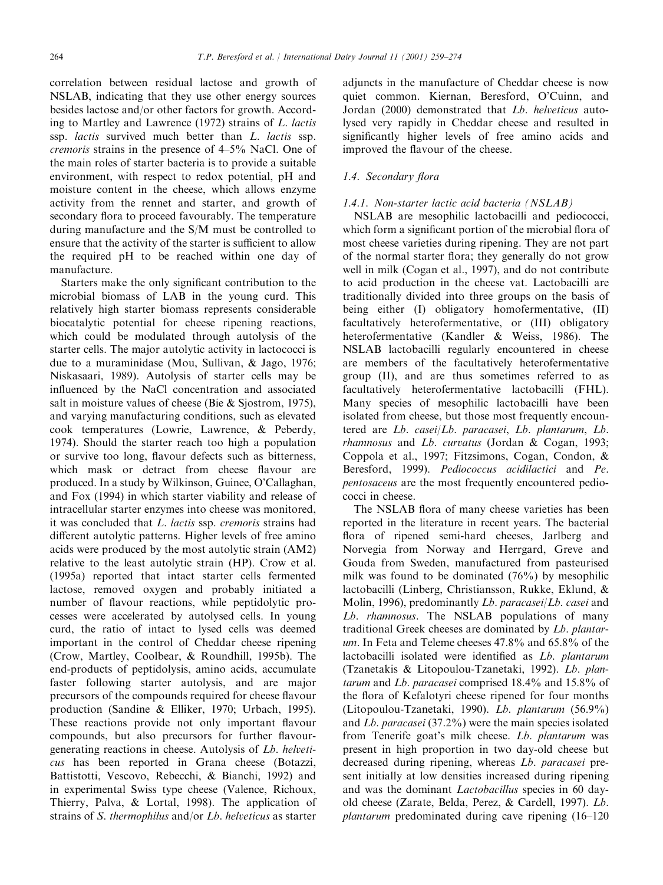correlation between residual lactose and growth of NSLAB, indicating that they use other energy sources besides lactose and/or other factors for growth. According to Martley and Lawrence (1972) strains of  $L.$  lactis ssp. lactis survived much better than L. lactis ssp. cremoris strains in the presence of 4–5% NaCl. One of the main roles of starter bacteria is to provide a suitable environment, with respect to redox potential, pH and moisture content in the cheese, which allows enzyme activity from the rennet and starter, and growth of secondary flora to proceed favourably. The temperature during manufacture and the  $S/M$  must be controlled to ensure that the activity of the starter is sufficient to allow the required pH to be reached within one day of manufacture.

Starters make the only significant contribution to the microbial biomass of LAB in the young curd. This relatively high starter biomass represents considerable biocatalytic potential for cheese ripening reactions, which could be modulated through autolysis of the starter cells. The major autolytic activity in lactococci is due to a muraminidase (Mou, Sullivan, & Jago, 1976; Niskasaari, 1989). Autolysis of starter cells may be influenced by the NaCl concentration and associated salt in moisture values of cheese (Bie & Sjostrom, 1975), and varying manufacturing conditions, such as elevated cook temperatures (Lowrie, Lawrence, & Peberdy, 1974). Should the starter reach too high a population or survive too long, flavour defects such as bitterness, which mask or detract from cheese flavour are produced. In a study by Wilkinson, Guinee, O'Callaghan, and Fox (1994) in which starter viability and release of intracellular starter enzymes into cheese was monitored, it was concluded that L. lactis ssp. cremoris strains had different autolytic patterns. Higher levels of free amino acids were produced by the most autolytic strain (AM2) relative to the least autolytic strain (HP). Crow et al. (1995a) reported that intact starter cells fermented lactose, removed oxygen and probably initiated a number of flavour reactions, while peptidolytic processes were accelerated by autolysed cells. In young curd, the ratio of intact to lysed cells was deemed important in the control of Cheddar cheese ripening (Crow, Martley, Coolbear, & Roundhill, 1995b). The end-products of peptidolysis, amino acids, accumulate faster following starter autolysis, and are major precursors of the compounds required for cheese flavour production (Sandine & Elliker, 1970; Urbach, 1995). These reactions provide not only important flavour compounds, but also precursors for further flavourgenerating reactions in cheese. Autolysis of Lb. helveticus has been reported in Grana cheese (Botazzi, Battistotti, Vescovo, Rebecchi, & Bianchi, 1992) and in experimental Swiss type cheese (Valence, Richoux, Thierry, Palva, & Lortal, 1998). The application of strains of S. thermophilus and/or Lb. helveticus as starter

adjuncts in the manufacture of Cheddar cheese is now quiet common. Kiernan, Beresford, O'Cuinn, and Jordan (2000) demonstrated that Lb. helveticus autolysed very rapidly in Cheddar cheese and resulted in significantly higher levels of free amino acids and improved the flavour of the cheese.

## 1.4. Secondary flora

### 1.4.1. Non-starter lactic acid bacteria (NSLAB)

NSLAB are mesophilic lactobacilli and pediococci, which form a significant portion of the microbial flora of most cheese varieties during ripening. They are not part of the normal starter flora; they generally do not grow well in milk (Cogan et al., 1997), and do not contribute to acid production in the cheese vat. Lactobacilli are traditionally divided into three groups on the basis of being either (I) obligatory homofermentative, (II) facultatively heterofermentative, or (III) obligatory heterofermentative (Kandler & Weiss, 1986). The NSLAB lactobacilli regularly encountered in cheese are members of the facultatively heterofermentative group (II), and are thus sometimes referred to as facultatively heterofermentative lactobacilli (FHL). Many species of mesophilic lactobacilli have been isolated from cheese, but those most frequently encountered are Lb. casei/Lb. paracasei, Lb. plantarum, Lb. rhamnosus and Lb. curvatus (Jordan & Cogan, 1993; Coppola et al., 1997; Fitzsimons, Cogan, Condon, & Beresford, 1999). Pediococcus acidilactici and Pe. pentosaceus are the most frequently encountered pediococci in cheese.

The NSLAB flora of many cheese varieties has been reported in the literature in recent years. The bacterial flora of ripened semi-hard cheeses, Jarlberg and Norvegia from Norway and Herrgard, Greve and Gouda from Sweden, manufactured from pasteurised milk was found to be dominated (76%) by mesophilic lactobacilli (Linberg, Christiansson, Rukke, Eklund, & Molin, 1996), predominantly Lb. paracasei/Lb. casei and Lb. rhamnosus. The NSLAB populations of many traditional Greek cheeses are dominated by Lb. plantarum. In Feta and Teleme cheeses 47.8% and 65.8% of the lactobacilli isolated were identified as Lb. plantarum (Tzanetakis & Litopoulou-Tzanetaki, 1992). Lb. plantarum and Lb. paracasei comprised 18.4% and 15.8% of the flora of Kefalotyri cheese ripened for four months (Litopoulou-Tzanetaki, 1990). Lb. plantarum (56.9%) and Lb. paracasei (37.2%) were the main species isolated from Tenerife goat's milk cheese. Lb. plantarum was present in high proportion in two day-old cheese but decreased during ripening, whereas Lb. paracasei present initially at low densities increased during ripening and was the dominant Lactobacillus species in 60 dayold cheese (Zarate, Belda, Perez, & Cardell, 1997). Lb. *plantarum* predominated during cave ripening  $(16-120)$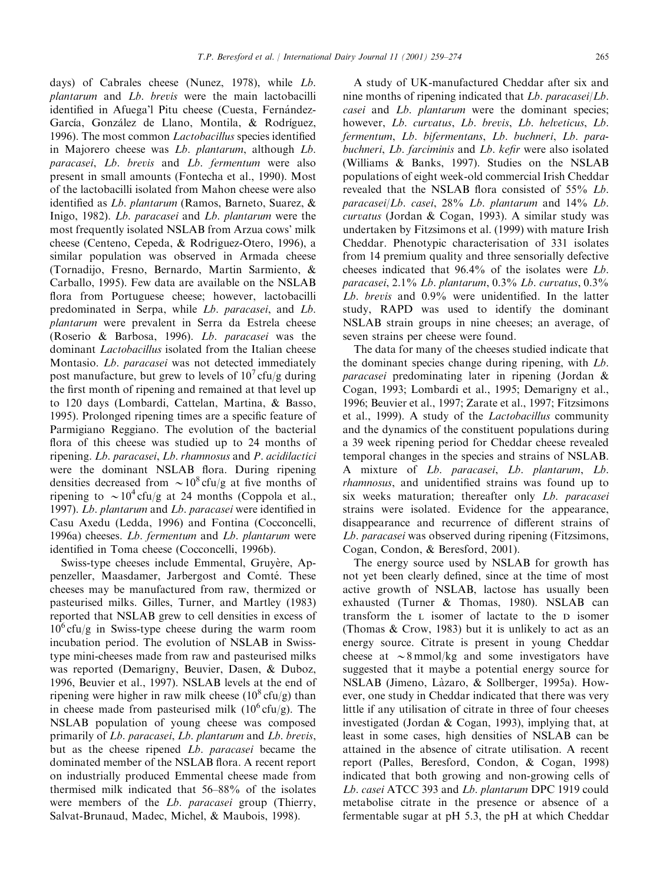days) of Cabrales cheese (Nunez, 1978), while Lb. plantarum and Lb. brevis were the main lactobacilli identified in Afuega'l Pitu cheese (Cuesta, Fernández-García, González de Llano, Montila, & Rodríguez, 1996). The most common Lactobacillus species identified in Majorero cheese was Lb. plantarum, although Lb. paracasei, Lb. brevis and Lb. fermentum were also present in small amounts (Fontecha et al., 1990). Most of the lactobacilli isolated from Mahon cheese were also identified as Lb. plantarum (Ramos, Barneto, Suarez, & Inigo, 1982). Lb. paracasei and Lb. plantarum were the most frequently isolated NSLAB from Arzua cows' milk cheese (Centeno, Cepeda, & Rodriguez-Otero, 1996), a similar population was observed in Armada cheese (Tornadijo, Fresno, Bernardo, Martin Sarmiento, & Carballo, 1995). Few data are available on the NSLAB flora from Portuguese cheese; however, lactobacilli predominated in Serpa, while Lb. paracasei, and Lb. plantarum were prevalent in Serra da Estrela cheese (Roserio & Barbosa, 1996). Lb. paracasei was the dominant *Lactobacillus* isolated from the Italian cheese Montasio. Lb. paracasei was not detected immediately post manufacture, but grew to levels of  $10<sup>7</sup>$  cfu/g during the first month of ripeningand remained at that level up to 120 days (Lombardi, Cattelan, Martina, & Basso, 1995). Prolonged ripening times are a specific feature of Parmigiano Reggiano. The evolution of the bacterial flora of this cheese was studied up to 24 months of ripening. Lb. paracasei, Lb. rhamnosus and P. acidilactici were the dominant NSLAB flora. During ripening densities decreased from  $\sim 10^8 \text{cftu/g}$  at five months of ripening to  $\sim 10^4$  cfu/g at 24 months (Coppola et al., 1997). Lb. plantarum and Lb. paracasei were identified in Casu Axedu (Ledda, 1996) and Fontina (Cocconcelli, 1996a) cheeses. Lb. fermentum and Lb. plantarum were identified in Toma cheese (Cocconcelli, 1996b).

Swiss-type cheeses include Emmental, Gruyère, Appenzeller, Maasdamer, Jarbergost and Comté. These cheeses may be manufactured from raw, thermized or pasteurised milks. Gilles, Turner, and Martley (1983) reported that NSLAB grew to cell densities in excess of  $10^6$  cfu/g in Swiss-type cheese during the warm room incubation period. The evolution of NSLAB in Swisstype mini-cheeses made from raw and pasteurised milks was reported (Demarigny, Beuvier, Dasen, & Duboz, 1996, Beuvier et al., 1997). NSLAB levels at the end of ripening were higher in raw milk cheese ( $10^8$  cfu/g) than in cheese made from pasteurised milk  $(10^6 \text{c}fu/g)$ . The NSLAB population of young cheese was composed primarily of Lb. paracasei, Lb. plantarum and Lb. brevis, but as the cheese ripened Lb. paracasei became the dominated member of the NSLAB flora. A recent report on industrially produced Emmental cheese made from thermised milk indicated that 56–88% of the isolates were members of the *Lb. paracasei* group (Thierry, Salvat-Brunaud, Madec, Michel, & Maubois, 1998).

A study of UK-manufactured Cheddar after six and nine months of ripening indicated that  $Lb$ . paracasei/ $Lb$ . casei and Lb. plantarum were the dominant species; however, Lb. curvatus, Lb. brevis, Lb. helveticus, Lb. fermentum, Lb. bifermentans, Lb. buchneri, Lb. parabuchneri, Lb. farciminis and Lb. kefir were also isolated (Williams & Banks, 1997). Studies on the NSLAB populations of eight week-old commercial Irish Cheddar revealed that the NSLAB flora consisted of 55% Lb. paracasei/Lb. casei, 28% Lb. plantarum and 14% Lb. curvatus (Jordan & Cogan, 1993). A similar study was undertaken by Fitzsimons et al. (1999) with mature Irish Cheddar. Phenotypic characterisation of 331 isolates from 14 premium quality and three sensorially defective cheeses indicated that 96.4% of the isolates were Lb. paracasei, 2.1% Lb. plantarum, 0.3% Lb. curvatus, 0.3% Lb. brevis and 0.9% were unidentified. In the latter study, RAPD was used to identify the dominant NSLAB strain groups in nine cheeses; an average, of seven strains per cheese were found.

The data for many of the cheeses studied indicate that the dominant species change during ripening, with Lb. paracasei predominating later in ripening (Jordan  $\&$ Cogan, 1993; Lombardi et al., 1995; Demarigny et al., 1996; Beuvier et al., 1997; Zarate et al., 1997; Fitzsimons et al., 1999). A study of the Lactobacillus community and the dynamics of the constituent populations during a 39 week ripening period for Cheddar cheese revealed temporal changes in the species and strains of NSLAB. A mixture of Lb. paracasei, Lb. plantarum, Lb. rhamnosus, and unidentified strains was found up to six weeks maturation; thereafter only Lb. paracasei strains were isolated. Evidence for the appearance, disappearance and recurrence of different strains of Lb. paracasei was observed during ripening (Fitzsimons, Cogan, Condon, & Beresford, 2001).

The energy source used by NSLAB for growth has not yet been clearly defined, since at the time of most active growth of NSLAB, lactose has usually been exhausted (Turner & Thomas, 1980). NSLAB can transform the L isomer of lactate to the D isomer (Thomas & Crow, 1983) but it is unlikely to act as an energy source. Citrate is present in young Cheddar cheese at  $\sim$ 8 mmol/kg and some investigators have suggested that it maybe a potential energy source for NSLAB (Jimeno, Làzaro, & Sollberger, 1995a). However, one study in Cheddar indicated that there was very little if any utilisation of citrate in three of four cheeses investigated (Jordan & Cogan, 1993), implying that, at least in some cases, high densities of NSLAB can be attained in the absence of citrate utilisation. A recent report (Palles, Beresford, Condon, & Cogan, 1998) indicated that both growing and non-growing cells of Lb. casei ATCC 393 and Lb. plantarum DPC 1919 could metabolise citrate in the presence or absence of a fermentable sugar at pH 5.3, the pH at which Cheddar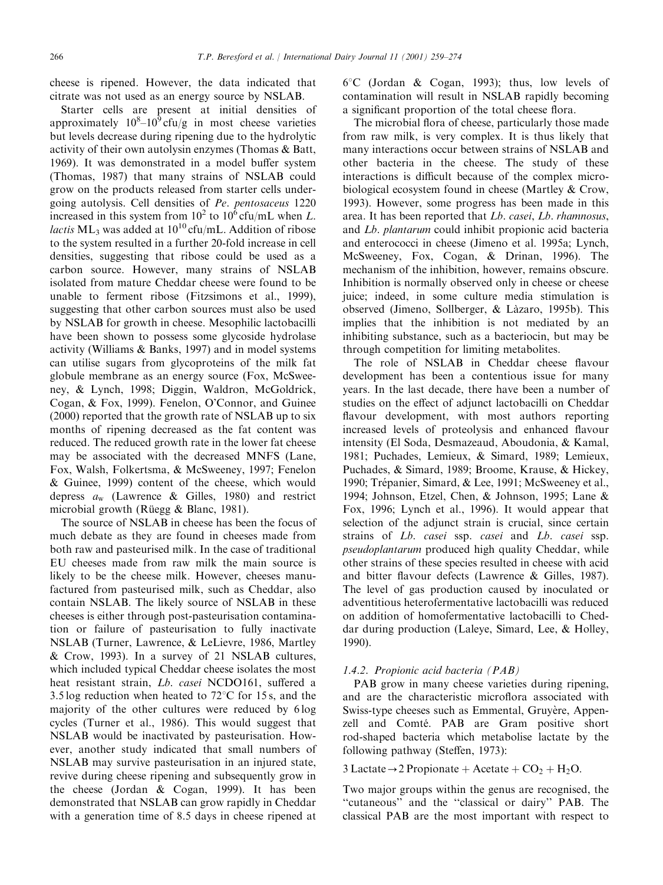cheese is ripened. However, the data indicated that citrate was not used as an energy source by NSLAB.

Starter cells are present at initial densities of approximately  $10^8 - 10^9$  cfu/g in most cheese varieties but levels decrease during ripening due to the hydrolytic activity of their own autolysin enzymes (Thomas & Batt, 1969). It was demonstrated in a model buffer system (Thomas, 1987) that many strains of NSLAB could grow on the products released from starter cells undergoing autolysis. Cell densities of Pe. pentosaceus 1220 increased in this system from  $10^2$  to  $10^6$  cfu/mL when L. *lactis* ML<sub>3</sub> was added at  $10^{10}$  cfu/mL. Addition of ribose to the system resulted in a further 20-fold increase in cell densities, suggesting that ribose could be used as a carbon source. However, many strains of NSLAB isolated from mature Cheddar cheese were found to be unable to ferment ribose (Fitzsimons et al., 1999), suggesting that other carbon sources must also be used by NSLAB for growth in cheese. Mesophilic lactobacilli have been shown to possess some glycoside hydrolase activity (Williams & Banks, 1997) and in model systems can utilise sugars from glycoproteins of the milk fat globule membrane as an energy source (Fox, McSweeney, & Lynch, 1998; Diggin, Waldron, McGoldrick, Cogan, & Fox, 1999). Fenelon, O'Connor, and Guinee (2000) reported that the growth rate of NSLAB up to six months of ripening decreased as the fat content was reduced. The reduced growth rate in the lower fat cheese may be associated with the decreased MNFS (Lane, Fox, Walsh, Folkertsma, & McSweeney, 1997; Fenelon & Guinee, 1999) content of the cheese, which would depress  $a_w$  (Lawrence & Gilles, 1980) and restrict microbial growth (Rüegg  $&$  Blanc, 1981).

The source of NSLAB in cheese has been the focus of much debate as they are found in cheeses made from both raw and pasteurised milk. In the case of traditional EU cheeses made from raw milk the main source is likely to be the cheese milk. However, cheeses manufactured from pasteurised milk, such as Cheddar, also contain NSLAB. The likely source of NSLAB in these cheeses is either through post-pasteurisation contamination or failure of pasteurisation to fully inactivate NSLAB (Turner, Lawrence, & LeLievre, 1986, Martley & Crow, 1993). In a survey of 21 NSLAB cultures, which included typical Cheddar cheese isolates the most heat resistant strain, Lb. casei NCDO161, suffered a 3.5 log reduction when heated to  $72^{\circ}$ C for 15 s, and the majority of the other cultures were reduced by 6 log cycles (Turner et al., 1986). This would suggest that NSLAB would be inactivated by pasteurisation. However, another study indicated that small numbers of NSLAB may survive pasteurisation in an injured state, revive during cheese ripening and subsequently grow in the cheese (Jordan & Cogan, 1999). It has been demonstrated that NSLAB can grow rapidly in Cheddar with a generation time of 8.5 days in cheese ripened at

 $6^{\circ}$ C (Jordan & Cogan, 1993); thus, low levels of contamination will result in NSLAB rapidly becoming a significant proportion of the total cheese flora.

The microbial flora of cheese, particularly those made from raw milk, is very complex. It is thus likely that many interactions occur between strains of NSLAB and other bacteria in the cheese. The study of these interactions is difficult because of the complex microbiological ecosystem found in cheese (Martley & Crow, 1993). However, some progress has been made in this area. It has been reported that Lb. casei, Lb. rhamnosus, and Lb. plantarum could inhibit propionic acid bacteria and enterococci in cheese (Jimeno et al. 1995a; Lynch, McSweeney, Fox, Cogan, & Drinan, 1996). The mechanism of the inhibition, however, remains obscure. Inhibition is normally observed only in cheese or cheese juice; indeed, in some culture media stimulation is observed (Jimeno, Sollberger, & Lazaro, 1995b). This " implies that the inhibition is not mediated by an inhibiting substance, such as a bacteriocin, but may be through competition for limiting metabolites.

The role of NSLAB in Cheddar cheese flavour development has been a contentious issue for many years. In the last decade, there have been a number of studies on the effect of adjunct lactobacilli on Cheddar flavour development, with most authors reporting increased levels of proteolysis and enhanced flavour intensity (El Soda, Desmazeaud, Aboudonia, & Kamal, 1981; Puchades, Lemieux, & Simard, 1989; Lemieux, Puchades, & Simard, 1989; Broome, Krause, & Hickey, 1990; Trépanier, Simard, & Lee, 1991; McSweeney et al., 1994; Johnson, Etzel, Chen, & Johnson, 1995; Lane & Fox, 1996; Lynch et al., 1996). It would appear that selection of the adjunct strain is crucial, since certain strains of Lb. casei ssp. casei and Lb. casei ssp. pseudoplantarum produced high quality Cheddar, while other strains of these species resulted in cheese with acid and bitter flavour defects (Lawrence & Gilles, 1987). The level of gas production caused by inoculated or adventitious heterofermentative lactobacilli was reduced on addition of homofermentative lactobacilli to Cheddar during production (Laleye, Simard, Lee, & Holley, 1990).

# 1.4.2. Propionic acid bacteria (PAB)

PAB grow in many cheese varieties during ripening, and are the characteristic microflora associated with Swiss-type cheeses such as Emmental, Gruyère, Appenzell and Comté. PAB are Gram positive short rod-shaped bacteria which metabolise lactate by the following pathway (Steffen, 1973):

3 Lactate  $\rightarrow$  2 Propionate + Acetate +  $CO_2$  + H<sub>2</sub>O.

Two major groups within the genus are recognised, the ''cutaneous'' and the ''classical or dairy'' PAB. The classical PAB are the most important with respect to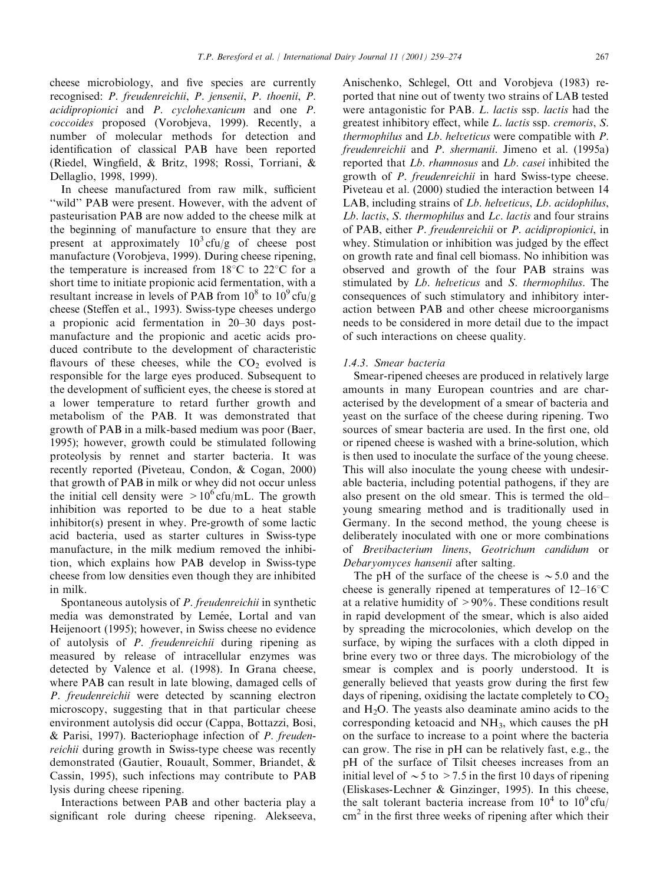cheese microbiology, and five species are currently recognised: P. freudenreichii, P. jensenii, P. thoenii, P. acidipropionici and P. cyclohexanicum and one P. coccoides proposed (Vorobjeva, 1999). Recently, a number of molecular methods for detection and identification of classical PAB have been reported (Riedel, Wingfield, & Britz, 1998; Rossi, Torriani, & Dellaglio, 1998, 1999).

In cheese manufactured from raw milk, sufficient ''wild'' PAB were present. However, with the advent of pasteurisation PAB are now added to the cheese milk at the beginning of manufacture to ensure that they are present at approximately  $10^3$  cfu/g of cheese post manufacture (Vorobjeva, 1999). During cheese ripening, the temperature is increased from  $18^{\circ}$ C to  $22^{\circ}$ C for a short time to initiate propionic acid fermentation, with a resultant increase in levels of PAB from  $10^8$  to  $10^9$  cfu/g cheese (Steffen et al., 1993). Swiss-type cheeses undergo a propionic acid fermentation in 20–30 days postmanufacture and the propionic and acetic acids produced contribute to the development of characteristic flavours of these cheeses, while the  $CO<sub>2</sub>$  evolved is responsible for the large eyes produced. Subsequent to the development of sufficient eyes, the cheese is stored at a lower temperature to retard further growth and metabolism of the PAB. It was demonstrated that growth of PAB in a milk-based medium was poor (Baer, 1995); however, growth could be stimulated following proteolysis by rennet and starter bacteria. It was recently reported (Piveteau, Condon, & Cogan, 2000) that growth of PAB in milk or whey did not occur unless the initial cell density were  $>10^6$  cfu/mL. The growth inhibition was reported to be due to a heat stable inhibitor(s) present in whey. Pre-growth of some lactic acid bacteria, used as starter cultures in Swiss-type manufacture, in the milk medium removed the inhibition, which explains how PAB develop in Swiss-type cheese from low densities even though they are inhibited in milk.

Spontaneous autolysis of P. freudenreichii in synthetic media was demonstrated by Lemée, Lortal and van Heijenoort (1995); however, in Swiss cheese no evidence of autolysis of  $P$ . *freudenreichii* during ripening as measured by release of intracellular enzymes was detected by Valence et al. (1998). In Grana cheese, where PAB can result in late blowing, damaged cells of P. freudenreichii were detected by scanning electron microscopy, suggesting that in that particular cheese environment autolysis did occur (Cappa, Bottazzi, Bosi, & Parisi, 1997). Bacteriophage infection of P. freudenreichii during growth in Swiss-type cheese was recently demonstrated (Gautier, Rouault, Sommer, Briandet, & Cassin, 1995), such infections may contribute to PAB lysis during cheese ripening.

Interactions between PAB and other bacteria play a significant role during cheese ripening. Alekseeva,

Anischenko, Schlegel, Ott and Vorobjeva (1983) reported that nine out of twenty two strains of LAB tested were antagonistic for PAB. L. lactis ssp. lactis had the greatest inhibitory effect, while L. lactis ssp. cremoris, S. thermophilus and Lb. helveticus were compatible with P. freudenreichii and P. shermanii. Jimeno et al. (1995a) reported that Lb. rhamnosus and Lb. casei inhibited the growth of P. freudenreichii in hard Swiss-type cheese. Piveteau et al. (2000) studied the interaction between 14 LAB, including strains of Lb. helveticus, Lb. acidophilus, Lb. lactis, S. thermophilus and Lc. lactis and four strains of PAB, either P. freudenreichii or P. acidipropionici, in whey. Stimulation or inhibition was judged by the effect on growth rate and final cell biomass. No inhibition was observed and growth of the four PAB strains was stimulated by Lb. helveticus and S. thermophilus. The consequences of such stimulatory and inhibitory interaction between PAB and other cheese microorganisms needs to be considered in more detail due to the impact of such interactions on cheese quality.

#### 1.4.3. Smear bacteria

Smear-ripened cheeses are produced in relatively large amounts in many European countries and are characterised by the development of a smear of bacteria and yeast on the surface of the cheese during ripening. Two sources of smear bacteria are used. In the first one, old or ripened cheese is washed with a brine-solution, which is then used to inoculate the surface of the young cheese. This will also inoculate the young cheese with undesirable bacteria, including potential pathogens, if they are also present on the old smear. This is termed the old– young smearing method and is traditionally used in Germany. In the second method, the young cheese is deliberately inoculated with one or more combinations of Brevibacterium linens, Geotrichum candidum or Debaryomyces hansenii after salting.

The pH of the surface of the cheese is  $\sim$  5.0 and the cheese is generally ripened at temperatures of  $12-16^{\circ}C$ at a relative humidity of  $>90\%$ . These conditions result in rapid development of the smear, which is also aided by spreading the microcolonies, which develop on the surface, by wiping the surfaces with a cloth dipped in brine every two or three days. The microbiology of the smear is complex and is poorly understood. It is generally believed that yeasts grow during the first few days of ripening, oxidising the lactate completely to  $CO<sub>2</sub>$ and  $H_2O$ . The yeasts also deaminate amino acids to the corresponding ketoacid and  $NH_3$ , which causes the pH on the surface to increase to a point where the bacteria can grow. The rise in pH can be relatively fast, e.g., the pH of the surface of Tilsit cheeses increases from an initial level of  $\sim$  5 to  $>$  7.5 in the first 10 days of ripening (Eliskases-Lechner & Ginzinger, 1995). In this cheese, the salt tolerant bacteria increase from  $10^4$  to  $10^9$  cfu/  $\text{cm}^2$  in the first three weeks of ripening after which their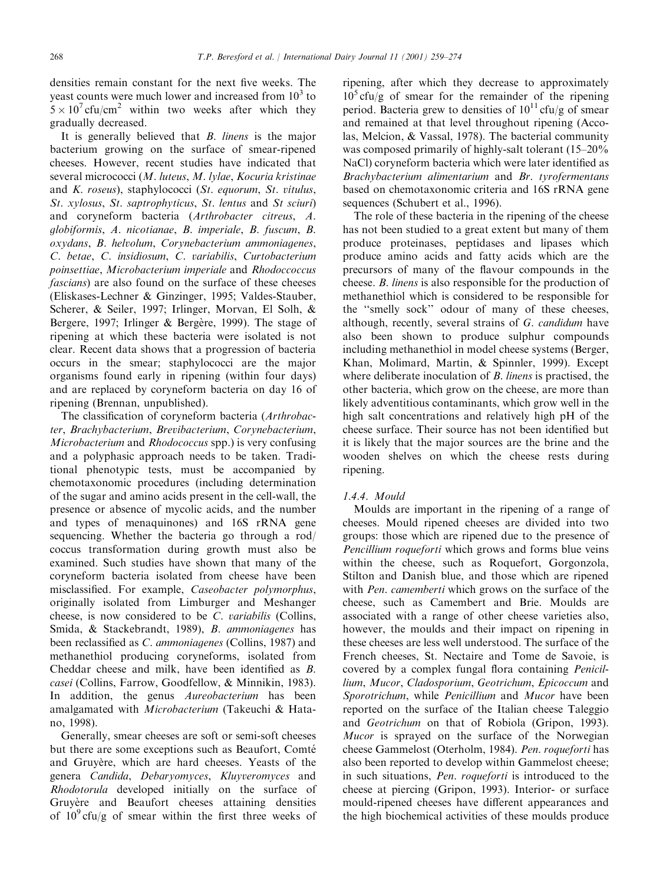densities remain constant for the next five weeks. The yeast counts were much lower and increased from  $10<sup>3</sup>$  to  $5 \times 10^{7}$  cfu/cm<sup>2</sup> within two weeks after which they gradually decreased.

It is generally believed that  $B$ . *linens* is the major bacterium growing on the surface of smear-ripened cheeses. However, recent studies have indicated that several micrococci (M. luteus, M. lylae, Kocuria kristinae and K. roseus), staphylococci (St. equorum, St. vitulus, St. xylosus, St. saptrophyticus, St. lentus and St sciuri) and coryneform bacteria (Arthrobacter citreus, A. globiformis, A. nicotianae, B. imperiale, B. fuscum, B. oxydans, B. helvolum, Corynebacterium ammoniagenes, C. betae, C. insidiosum, C. variabilis, Curtobacterium poinsettiae, Microbacterium imperiale and Rhodoccoccus fascians) are also found on the surface of these cheeses (Eliskases-Lechner & Ginzinger, 1995; Valdes-Stauber, Scherer, & Seiler, 1997; Irlinger, Morvan, El Solh, & Bergere, 1997; Irlinger  $&$  Bergère, 1999). The stage of ripeningat which these bacteria were isolated is not clear. Recent data shows that a progression of bacteria occurs in the smear; staphylococci are the major organisms found early in ripening (within four days) and are replaced by coryneform bacteria on day 16 of ripening (Brennan, unpublished).

The classification of coryneform bacteria (Arthrobacter, Brachybacterium, Brevibacterium, Corynebacterium, Microbacterium and Rhodococcus spp.) is very confusing and a polyphasic approach needs to be taken. Traditional phenotypic tests, must be accompanied by chemotaxonomic procedures (including determination of the sugar and amino acids present in the cell-wall, the presence or absence of mycolic acids, and the number and types of menaquinones) and 16S rRNA gene sequencing. Whether the bacteria go through a rod/ coccus transformation during growth must also be examined. Such studies have shown that many of the coryneform bacteria isolated from cheese have been misclassified. For example, Caseobacter polymorphus, originally isolated from Limburger and Meshanger cheese, is now considered to be C. variabilis (Collins, Smida, & Stackebrandt, 1989), B. ammoniagenes has been reclassified as C. ammoniagenes (Collins, 1987) and methanethiol producing coryneforms, isolated from Cheddar cheese and milk, have been identified as B. casei (Collins, Farrow, Goodfellow, & Minnikin, 1983). In addition, the genus *Aureobacterium* has been amalgamated with Microbacterium (Takeuchi & Hatano, 1998).

Generally, smear cheeses are soft or semi-soft cheeses but there are some exceptions such as Beaufort, Comté and Gruyère, which are hard cheeses. Yeasts of the genera Candida, Debaryomyces, Kluyveromyces and Rhodotorula developed initially on the surface of Gruyere and Beaufort cheeses attaining densities of  $10^9$  cfu/g of smear within the first three weeks of ripening, after which they decrease to approximately  $10^5$  cfu/g of smear for the remainder of the ripening period. Bacteria grew to densities of  $10^{11}$  cfu/g of smear and remained at that level throughout ripening (Accolas, Melcion, & Vassal, 1978). The bacterial community was composed primarily of highly-salt tolerant (15–20% NaCl) coryneform bacteria which were later identified as Brachybacterium alimentarium and Br. tyrofermentans based on chemotaxonomic criteria and 16S rRNA gene sequences (Schubert et al., 1996).

The role of these bacteria in the ripening of the cheese has not been studied to a great extent but many of them produce proteinases, peptidases and lipases which produce amino acids and fatty acids which are the precursors of many of the flavour compounds in the cheese. B. linens is also responsible for the production of methanethiol which is considered to be responsible for the ''smelly sock'' odour of many of these cheeses, although, recently, several strains of G. candidum have also been shown to produce sulphur compounds including methanethiol in model cheese systems (Berger, Khan, Molimard, Martin, & Spinnler, 1999). Except where deliberate inoculation of *B*. *linens* is practised, the other bacteria, which grow on the cheese, are more than likely adventitious contaminants, which grow well in the high salt concentrations and relatively high pH of the cheese surface. Their source has not been identified but it is likely that the major sources are the brine and the wooden shelves on which the cheese rests during ripening.

# 1.4.4. Mould

Moulds are important in the ripening of a range of cheeses. Mould ripened cheeses are divided into two groups: those which are ripened due to the presence of Pencillium roqueforti which grows and forms blue veins within the cheese, such as Roquefort, Gorgonzola, Stilton and Danish blue, and those which are ripened with *Pen. camemberti* which grows on the surface of the cheese, such as Camembert and Brie. Moulds are associated with a range of other cheese varieties also, however, the moulds and their impact on ripening in these cheeses are less well understood. The surface of the French cheeses, St. Nectaire and Tome de Savoie, is covered by a complex fungal flora containing Penicillium, Mucor, Cladosporium, Geotrichum, Epicoccum and Sporotrichum, while Penicillium and Mucor have been reported on the surface of the Italian cheese Taleggio and Geotrichum on that of Robiola (Gripon, 1993). Mucor is sprayed on the surface of the Norwegian cheese Gammelost (Oterholm, 1984). Pen. roqueforti has also been reported to develop within Gammelost cheese; in such situations, Pen. roqueforti is introduced to the cheese at piercing(Gripon, 1993). Interior- or surface mould-ripened cheeses have different appearances and the high biochemical activities of these moulds produce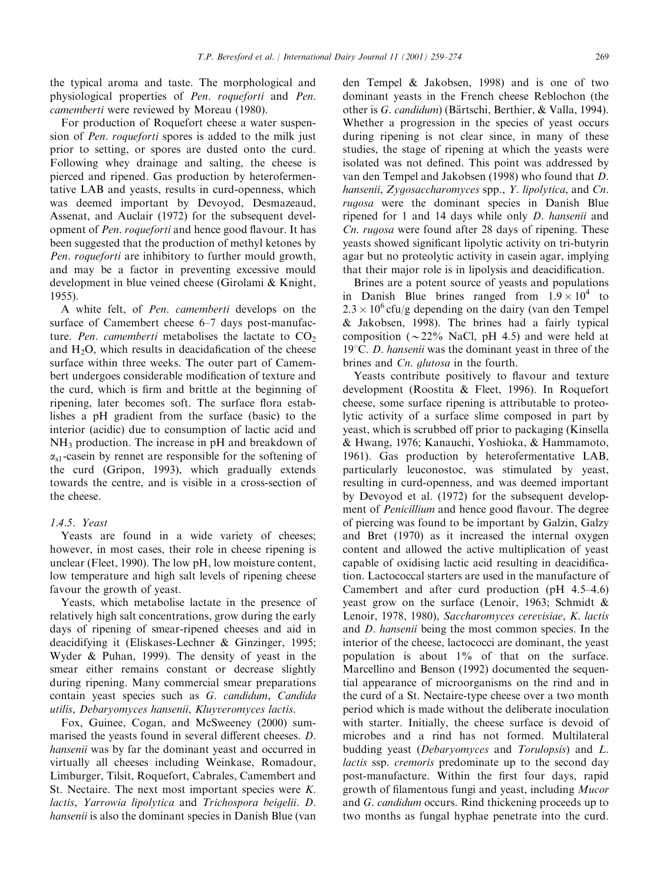the typical aroma and taste. The morphological and physiological properties of Pen. roqueforti and Pen. camemberti were reviewed by Moreau (1980).

For production of Roquefort cheese a water suspension of Pen. roqueforti spores is added to the milk just prior to setting, or spores are dusted onto the curd. Following whey drainage and salting, the cheese is pierced and ripened. Gas production by heterofermentative LAB and yeasts, results in curd-openness, which was deemed important by Devoyod, Desmazeaud, Assenat, and Auclair (1972) for the subsequent development of Pen. roqueforti and hence good flavour. It has been suggested that the production of methyl ketones by Pen. roqueforti are inhibitory to further mould growth, and may be a factor in preventing excessive mould development in blue veined cheese (Girolami & Knight, 1955).

A white felt, of Pen. camemberti develops on the surface of Camembert cheese 6–7 days post-manufacture. Pen. camemberti metabolises the lactate to  $CO<sub>2</sub>$ and  $H<sub>2</sub>O$ , which results in deacidafication of the cheese surface within three weeks. The outer part of Camembert undergoes considerable modification of texture and the curd, which is firm and brittle at the beginning of ripening, later becomes soft. The surface flora establishes a pH gradient from the surface (basic) to the interior (acidic) due to consumption of lactic acid and NH3 production. The increase in pH and breakdown of  $\alpha_{s1}$ -casein by rennet are responsible for the softening of the curd (Gripon, 1993), which gradually extends towards the centre, and is visible in a cross-section of the cheese.

### 1.4.5. Yeast

Yeasts are found in a wide variety of cheeses; however, in most cases, their role in cheese ripening is unclear (Fleet, 1990). The low pH, low moisture content, low temperature and high salt levels of ripening cheese favour the growth of yeast.

Yeasts, which metabolise lactate in the presence of relatively high salt concentrations, grow during the early days of ripening of smear-ripened cheeses and aid in deacidifying it (Eliskases-Lechner & Ginzinger, 1995; Wyder & Puhan, 1999). The density of yeast in the smear either remains constant or decrease slightly during ripening. Many commercial smear preparations contain yeast species such as G. candidum, Candida utilis, Debaryomyces hansenii, Kluyveromyces lactis.

Fox, Guinee, Cogan, and McSweeney (2000) summarised the yeasts found in several different cheeses. D. hansenii was by far the dominant yeast and occurred in virtually all cheeses including Weinkase, Romadour, Limburger, Tilsit, Roquefort, Cabrales, Camembert and St. Nectaire. The next most important species were K. lactis, Yarrowia lipolytica and Trichospora beigelii. D. hansenii is also the dominant species in Danish Blue (van den Tempel & Jakobsen, 1998) and is one of two dominant yeasts in the French cheese Reblochon (the other is G. candidum) (Bärtschi, Berthier, & Valla, 1994). Whether a progression in the species of yeast occurs during ripening is not clear since, in many of these studies, the stage of ripening at which the yeasts were isolated was not defined. This point was addressed by van den Tempel and Jakobsen (1998) who found that D. hansenii, Zygosaccharomyces spp., Y. lipolytica, and Cn. rugosa were the dominant species in Danish Blue ripened for 1 and 14 days while only D. hansenii and Cn. rugosa were found after 28 days of ripening. These yeasts showed significant lipolytic activity on tri-butyrin agar but no proteolytic activity in casein agar, implying that their major role is in lipolysis and deacidification.

Brines are a potent source of yeasts and populations in Danish Blue brines ranged from  $1.9 \times 10^4$  to  $2.3 \times 10^6$  cfu/g depending on the dairy (van den Tempel & Jakobsen, 1998). The brines had a fairly typical composition ( $\sim$ 22% NaCl, pH 4.5) and were held at 19 $°C$ . D. hansenii was the dominant yeast in three of the brines and *Cn. glutosa* in the fourth.

Yeasts contribute positively to flavour and texture development (Roostita & Fleet, 1996). In Roquefort cheese, some surface ripening is attributable to proteolytic activity of a surface slime composed in part by yeast, which is scrubbed off prior to packaging (Kinsella & Hwang, 1976; Kanauchi, Yoshioka, & Hammamoto, 1961). Gas production by heterofermentative LAB, particularly leuconostoc, was stimulated by yeast, resulting in curd-openness, and was deemed important by Devoyod et al. (1972) for the subsequent development of Penicillium and hence good flavour. The degree of piercingwas found to be important by Galzin, Galzy and Bret (1970) as it increased the internal oxygen content and allowed the active multiplication of yeast capable of oxidising lactic acid resulting in deacidification. Lactococcal starters are used in the manufacture of Camembert and after curd production (pH 4.5–4.6) yeast grow on the surface (Lenoir, 1963; Schmidt & Lenoir, 1978, 1980), Saccharomyces cerevisiae, K. lactis and *D. hansenii* being the most common species. In the interior of the cheese, lactococci are dominant, the yeast population is about 1% of that on the surface. Marcellino and Benson (1992) documented the sequential appearance of microorganisms on the rind and in the curd of a St. Nectaire-type cheese over a two month period which is made without the deliberate inoculation with starter. Initially, the cheese surface is devoid of microbes and a rind has not formed. Multilateral budding yeast (Debaryomyces and Torulopsis) and L. lactis ssp. cremoris predominate up to the second day post-manufacture. Within the first four days, rapid growth of filamentous fungi and yeast, including Mucor and G. candidum occurs. Rind thickening proceeds up to two months as fungal hyphae penetrate into the curd.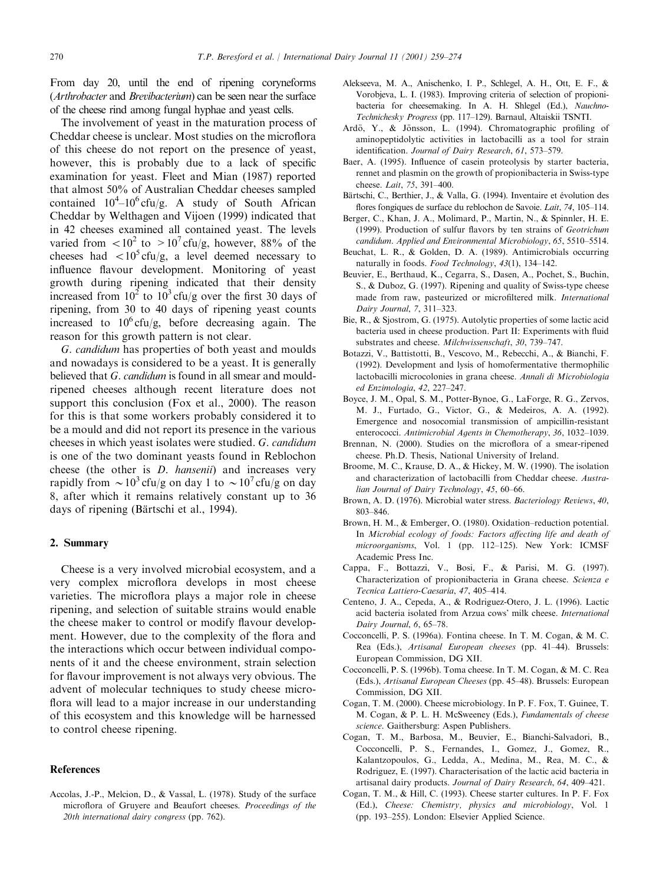From day 20, until the end of ripening coryneforms (Arthrobacter and Brevibacterium) can be seen near the surface of the cheese rind among fungal hyphae and yeast cells.

The involvement of yeast in the maturation process of Cheddar cheese is unclear. Most studies on the microflora of this cheese do not report on the presence of yeast, however, this is probably due to a lack of specific examination for yeast. Fleet and Mian (1987) reported that almost 50% of Australian Cheddar cheeses sampled contained  $10^4 - 10^6$  cfu/g. A study of South African Cheddar by Welthagen and Vijoen (1999) indicated that in 42 cheeses examined all contained yeast. The levels varied from  $\langle 10^2 \text{ to } > 10^7 \text{cftu/g}$ , however, 88% of the cheeses had  $\langle 10^5 \text{cftu/g} \rangle$ , a level deemed necessary to influence flavour development. Monitoring of yeast growth during ripening indicated that their density increased from  $10^2$  to  $10^3$  cfu/g over the first 30 days of ripening, from 30 to 40 days of ripening yeast counts increased to  $10^6$  cfu/g, before decreasing again. The reason for this growth pattern is not clear.

G. candidum has properties of both yeast and moulds and nowadays is considered to be a yeast. It is generally believed that G. candidum is found in all smear and mouldripened cheeses although recent literature does not support this conclusion (Fox et al., 2000). The reason for this is that some workers probably considered it to be a mould and did not report its presence in the various cheeses in which yeast isolates were studied. G. candidum is one of the two dominant yeasts found in Reblochon cheese (the other is D. hansenii) and increases very rapidly from  $\sim 10^3$  cfu/g on day 1 to  $\sim 10^7$  cfu/g on day 8, after which it remains relatively constant up to 36 days of ripening (Bärtschi et al., 1994).

#### 2. Summary

Cheese is a very involved microbial ecosystem, and a very complex microflora develops in most cheese varieties. The microflora plays a major role in cheese ripening, and selection of suitable strains would enable the cheese maker to control or modify flavour development. However, due to the complexity of the flora and the interactions which occur between individual components of it and the cheese environment, strain selection for flavour improvement is not always very obvious. The advent of molecular techniques to study cheese microflora will lead to a major increase in our understanding of this ecosystem and this knowledge will be harnessed to control cheese ripening.

#### References

Accolas, J.-P., Melcion, D., & Vassal, L. (1978). Study of the surface microflora of Gruyere and Beaufort cheeses. Proceedings of the 20th international dairy congress (pp. 762).

- Alekseeva, M. A., Anischenko, I. P., Schlegel, A. H., Ott, E. F., & Vorobjeva, L. I. (1983). Improving criteria of selection of propionibacteria for cheesemaking. In A. H. Shlegel (Ed.), Nauchno-Technichesky Progress (pp. 117–129). Barnaul, Altaiskii TSNTI.
- Ardö, Y., & Jönsson, L. (1994). Chromatographic profiling of aminopeptidolytic activities in lactobacilli as a tool for strain identification. Journal of Dairy Research, 61, 573–579.
- Baer, A. (1995). Influence of casein proteolysis by starter bacteria, rennet and plasmin on the growth of propionibacteria in Swiss-type cheese. Lait, 75, 391–400.
- Bärtschi, C., Berthier, J., & Valla, G. (1994). Inventaire et évolution des flores fongiques de surface du reblochon de Savoie. Lait, 74, 105–114.
- Berger, C., Khan, J. A., Molimard, P., Martin, N., & Spinnler, H. E. (1999). Production of sulfur flavors by ten strains of Geotrichum candidum. Applied and Environmental Microbiology, 65, 5510–5514.
- Beuchat, L. R., & Golden, D. A. (1989). Antimicrobials occurring naturally in foods. Food Technology, 43(1), 134–142.
- Beuvier, E., Berthaud, K., Cegarra, S., Dasen, A., Pochet, S., Buchin, S., & Duboz, G. (1997). Ripening and quality of Swiss-type cheese made from raw, pasteurized or microfiltered milk. International Dairy Journal, 7, 311–323.
- Bie, R., & Sjostrom, G. (1975). Autolytic properties of some lactic acid bacteria used in cheese production. Part II: Experiments with fluid substrates and cheese. Milchwissenschaft, 30, 739–747.
- Botazzi, V., Battistotti, B., Vescovo, M., Rebecchi, A., & Bianchi, F. (1992). Development and lysis of homofermentative thermophilic lactobacilli microcolonies in grana cheese. Annali di Microbiologia ed Enzimologia, 42, 227–247.
- Boyce, J. M., Opal, S. M., Potter-Bynoe, G., LaForge, R. G., Zervos, M. J., Furtado, G., Victor, G., & Medeiros, A. A. (1992). Emergence and nosocomial transmission of ampicillin-resistant enterococci. Antimicrobial Agents in Chemotherapy, 36, 1032–1039.
- Brennan, N. (2000). Studies on the microflora of a smear-ripened cheese. Ph.D. Thesis, National University of Ireland.
- Broome, M. C., Krause, D. A., & Hickey, M. W. (1990). The isolation and characterization of lactobacilli from Cheddar cheese. Australian Journal of Dairy Technology, 45, 60–66.
- Brown, A. D. (1976). Microbial water stress. Bacteriology Reviews, 40, 803–846.
- Brown, H. M., & Emberger, O. (1980). Oxidation–reduction potential. In Microbial ecology of foods: Factors affecting life and death of microorganisms, Vol. 1 (pp. 112–125). New York: ICMSF Academic Press Inc.
- Cappa, F., Bottazzi, V., Bosi, F., & Parisi, M. G. (1997). Characterization of propionibacteria in Grana cheese. Scienza e Tecnica Lattiero-Caesaria, 47, 405–414.
- Centeno, J. A., Cepeda, A., & Rodriguez-Otero, J. L. (1996). Lactic acid bacteria isolated from Arzua cows' milk cheese. International Dairy Journal, 6, 65–78.
- Cocconcelli, P. S. (1996a). Fontina cheese. In T. M. Cogan, & M. C. Rea (Eds.), Artisanal European cheeses (pp. 41–44). Brussels: European Commission, DG XII.
- Cocconcelli, P. S. (1996b). Toma cheese. In T. M. Cogan, & M. C. Rea (Eds.), Artisanal European Cheeses (pp. 45–48). Brussels: European Commission, DG XII.
- Cogan, T. M. (2000). Cheese microbiology. In P. F. Fox, T. Guinee, T. M. Cogan, & P. L. H. McSweeney (Eds.), Fundamentals of cheese science. Gaithersburg: Aspen Publishers.
- Cogan, T. M., Barbosa, M., Beuvier, E., Bianchi-Salvadori, B., Cocconcelli, P. S., Fernandes, I., Gomez, J., Gomez, R., Kalantzopoulos, G., Ledda, A., Medina, M., Rea, M. C., & Rodriguez, E. (1997). Characterisation of the lactic acid bacteria in artisanal dairy products. Journal of Dairy Research, 64, 409–421.
- Cogan, T. M., & Hill, C. (1993). Cheese starter cultures. In P. F. Fox (Ed.), Cheese: Chemistry, physics and microbiology, Vol. 1 (pp. 193–255). London: Elsevier Applied Science.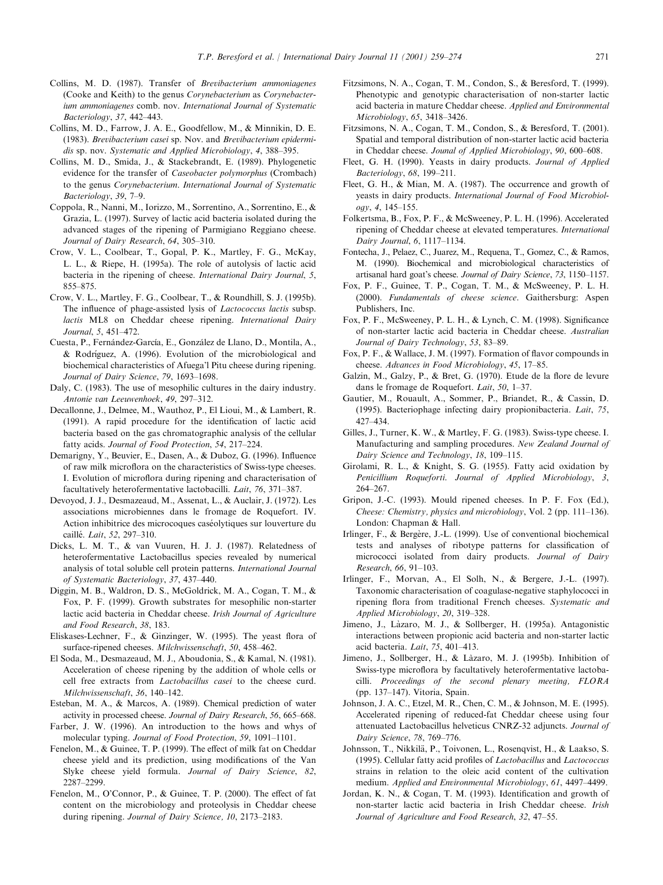- Collins, M. D. (1987). Transfer of Brevibacterium ammoniagenes (Cooke and Keith) to the genus Corynebacterium as Corynebacterium ammoniagenes comb. nov. International Journal of Systematic Bacteriology, 37, 442–443.
- Collins, M. D., Farrow, J. A. E., Goodfellow, M., & Minnikin, D. E. (1983). Brevibacterium casei sp. Nov. and Brevibacterium epidermidis sp. nov. Systematic and Applied Microbiology, 4, 388–395.
- Collins, M. D., Smida, J., & Stackebrandt, E. (1989). Phylogenetic evidence for the transfer of Caseobacter polymorphus (Crombach) to the genus Corynebacterium. International Journal of Systematic Bacteriology, 39, 7–9.
- Coppola, R., Nanni, M., Iorizzo, M., Sorrentino, A., Sorrentino, E., & Grazia, L. (1997). Survey of lactic acid bacteria isolated during the advanced stages of the ripening of Parmigiano Reggiano cheese. Journal of Dairy Research, 64, 305–310.
- Crow, V. L., Coolbear, T., Gopal, P. K., Martley, F. G., McKay, L. L., & Riepe, H. (1995a). The role of autolysis of lactic acid bacteria in the ripening of cheese. International Dairy Journal, 5, 855–875.
- Crow, V. L., Martley, F. G., Coolbear, T., & Roundhill, S. J. (1995b). The influence of phage-assisted lysis of Lactococcus lactis subsp. lactis ML8 on Cheddar cheese ripening. International Dairy Journal, 5, 451–472.
- Cuesta, P., Fernández-García, E., González de Llano, D., Montila, A., & Rodríguez, A. (1996). Evolution of the microbiological and biochemical characteristics of Afuega'l Pitu cheese during ripening. Journal of Dairy Science, 79, 1693–1698.
- Daly, C. (1983). The use of mesophilic cultures in the dairy industry. Antonie van Leeuwenhoek, 49, 297–312.
- Decallonne, J., Delmee, M., Wauthoz, P., El Lioui, M., & Lambert, R. (1991). A rapid procedure for the identification of lactic acid bacteria based on the gas chromatographic analysis of the cellular fatty acids. Journal of Food Protection, 54, 217–224.
- Demarigny, Y., Beuvier, E., Dasen, A., & Duboz, G. (1996). Influence of raw milk microflora on the characteristics of Swiss-type cheeses. I. Evolution of microflora during ripening and characterisation of facultatively heterofermentative lactobacilli. Lait, 76, 371–387.
- Devoyod, J. J., Desmazeaud, M., Assenat, L., & Auclair, J. (1972). Les associations microbiennes dans le fromage de Roquefort. IV. Action inhibitrice des microcoques caséolytiques sur louverture du caillé. Lait, 52, 297-310.
- Dicks, L. M. T., & van Vuuren, H. J. J. (1987). Relatedness of heterofermentative Lactobacillus species revealed by numerical analysis of total soluble cell protein patterns. International Journal of Systematic Bacteriology, 37, 437–440.
- Diggin, M. B., Waldron, D. S., McGoldrick, M. A., Cogan, T. M., & Fox, P. F. (1999). Growth substrates for mesophilic non-starter lactic acid bacteria in Cheddar cheese. Irish Journal of Agriculture and Food Research, 38, 183.
- Eliskases-Lechner, F., & Ginzinger, W. (1995). The yeast flora of surface-ripened cheeses. Milchwissenschaft, 50, 458–462.
- El Soda, M., Desmazeaud, M. J., Aboudonia, S., & Kamal, N. (1981). Acceleration of cheese ripening by the addition of whole cells or cell free extracts from Lactobacillus casei to the cheese curd. Milchwissenschaft, 36, 140–142.
- Esteban, M. A., & Marcos, A. (1989). Chemical prediction of water activity in processed cheese. Journal of Dairy Research, 56, 665–668.
- Farber, J. W. (1996). An introduction to the hows and whys of molecular typing. Journal of Food Protection, 59, 1091–1101.
- Fenelon, M., & Guinee, T. P. (1999). The effect of milk fat on Cheddar cheese yield and its prediction, using modifications of the Van Slyke cheese yield formula. Journal of Dairy Science, 82, 2287–2299.
- Fenelon, M., O'Connor, P., & Guinee, T. P. (2000). The effect of fat content on the microbiology and proteolysis in Cheddar cheese during ripening. Journal of Dairy Science, 10, 2173-2183.
- Fitzsimons, N. A., Cogan, T. M., Condon, S., & Beresford, T. (1999). Phenotypic and genotypic characterisation of non-starter lactic acid bacteria in mature Cheddar cheese. Applied and Environmental Microbiology, 65, 3418–3426.
- Fitzsimons, N. A., Cogan, T. M., Condon, S., & Beresford, T. (2001). Spatial and temporal distribution of non-starter lactic acid bacteria in Cheddar cheese. Jounal of Applied Microbiology, 90, 600–608.
- Fleet, G. H. (1990). Yeasts in dairy products. Journal of Applied Bacteriology, 68, 199–211.
- Fleet, G. H., & Mian, M. A. (1987). The occurrence and growth of yeasts in dairy products. International Journal of Food Microbiology, 4, 145–155.
- Folkertsma, B., Fox, P. F., & McSweeney, P. L. H. (1996). Accelerated ripening of Cheddar cheese at elevated temperatures. International Dairy Journal, 6, 1117–1134.
- Fontecha, J., Pelaez, C., Juarez, M., Requena, T., Gomez, C., & Ramos, M. (1990). Biochemical and microbiological characteristics of artisanal hard goat's cheese. Journal of Dairy Science, 73, 1150–1157.
- Fox, P. F., Guinee, T. P., Cogan, T. M., & McSweeney, P. L. H. (2000). Fundamentals of cheese science. Gaithersburg: Aspen Publishers, Inc.
- Fox, P. F., McSweeney, P. L. H., & Lynch, C. M. (1998). Significance of non-starter lactic acid bacteria in Cheddar cheese. Australian Journal of Dairy Technology, 53, 83–89.
- Fox, P. F., & Wallace, J. M. (1997). Formation of flavor compounds in cheese. Advances in Food Microbiology, 45, 17–85.
- Galzin, M., Galzy, P., & Bret, G. (1970). Etude de la flore de levure dans le fromage de Roquefort. Lait, 50, 1–37.
- Gautier, M., Rouault, A., Sommer, P., Briandet, R., & Cassin, D. (1995). Bacteriophage infecting dairy propionibacteria. Lait, 75, 427–434.
- Gilles, J., Turner, K. W., & Martley, F. G. (1983). Swiss-type cheese. I. Manufacturing and sampling procedures. New Zealand Journal of Dairy Science and Technology, 18, 109–115.
- Girolami, R. L., & Knight, S. G. (1955). Fatty acid oxidation by Penicillium Roqueforti. Journal of Applied Microbiology, 3, 264–267.
- Gripon, J.-C. (1993). Mould ripened cheeses. In P. F. Fox (Ed.), Cheese: Chemistry, physics and microbiology, Vol. 2 (pp. 111–136). London: Chapman & Hall.
- Irlinger, F., & Bergère, J.-L. (1999). Use of conventional biochemical tests and analyses of ribotype patterns for classification of micrococci isolated from dairy products. Journal of Dairy Research, 66, 91–103.
- Irlinger, F., Morvan, A., El Solh, N., & Bergere, J.-L. (1997). Taxonomic characterisation of coagulase-negative staphylococci in ripening flora from traditional French cheeses. Systematic and Applied Microbiology, 20, 319–328.
- Jimeno, J., Lazaro, M. J., & Sollberger, H. (1995a). Antagonistic " interactions between propionic acid bacteria and non-starter lactic acid bacteria. Lait, 75, 401–413.
- Jimeno, J., Sollberger, H., & Làzaro, M. J. (1995b). Inhibition of Swiss-type microflora by facultatively heterofermentative lactobacilli. Proceedings of the second plenary meeting, FLORA (pp. 137–147). Vitoria, Spain.
- Johnson, J. A. C., Etzel, M. R., Chen, C. M., & Johnson, M. E. (1995). Accelerated ripening of reduced-fat Cheddar cheese using four attenuated Lactobacillus helveticus CNRZ-32 adjuncts. Journal of Dairy Science, 78, 769–776.
- Johnsson, T., Nikkila, P., Toivonen, L., Rosenqvist, H., & Laakso, S. . (1995). Cellular fatty acid profiles of Lactobacillus and Lactococcus strains in relation to the oleic acid content of the cultivation medium. Applied and Environmental Microbiology, 61, 4497–4499.
- Jordan, K. N., & Cogan, T. M. (1993). Identification and growth of non-starter lactic acid bacteria in Irish Cheddar cheese. Irish Journal of Agriculture and Food Research, 32, 47–55.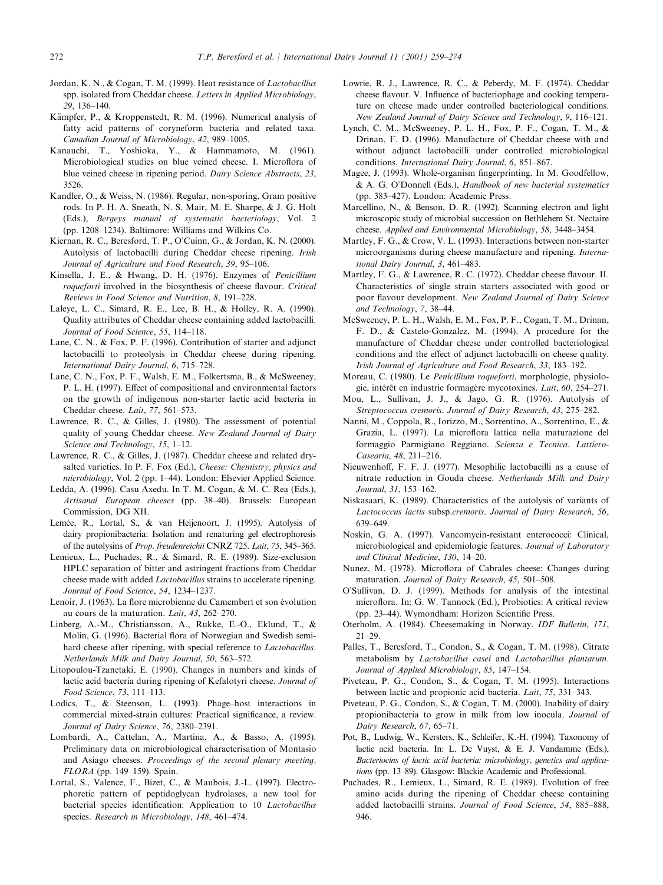- Jordan, K. N., & Cogan, T. M. (1999). Heat resistance of Lactobacillus spp. isolated from Cheddar cheese. Letters in Applied Microbiology, 29, 136–140.
- Kämpfer, P., & Kroppenstedt, R. M. (1996). Numerical analysis of fatty acid patterns of coryneform bacteria and related taxa. Canadian Journal of Microbiology, 42, 989–1005.
- Kanauchi, T., Yoshioka, Y., & Hammamoto, M. (1961). Microbiological studies on blue veined cheese. I. Microflora of blue veined cheese in ripening period. Dairy Science Abstracts, 23, 3526.
- Kandler, O., & Weiss, N. (1986). Regular, non-sporing, Gram positive rods. In P. H. A. Sneath, N. S. Mair, M. E. Sharpe, & J. G. Holt (Eds.), Bergeys manual of systematic bacteriology, Vol. 2 (pp. 1208–1234). Baltimore: Williams and Wilkins Co.
- Kiernan, R. C., Beresford, T. P., O'Cuinn, G., & Jordan, K. N. (2000). Autolysis of lactobacilli during Cheddar cheese ripening. Irish Journal of Agriculture and Food Research, 39, 95–106.
- Kinsella, J. E., & Hwang, D. H. (1976). Enzymes of Penicillium roqueforti involved in the biosynthesis of cheese flavour. Critical Reviews in Food Science and Nutrition, 8, 191–228.
- Laleye, L. C., Simard, R. E., Lee, B. H., & Holley, R. A. (1990). Quality attributes of Cheddar cheese containingadded lactobacilli. Journal of Food Science, 55, 114–118.
- Lane, C. N., & Fox, P. F. (1996). Contribution of starter and adjunct lactobacilli to proteolysis in Cheddar cheese during ripening. International Dairy Journal, 6, 715–728.
- Lane, C. N., Fox, P. F., Walsh, E. M., Folkertsma, B., & McSweeney, P. L. H. (1997). Effect of compositional and environmental factors on the growth of indigenous non-starter lactic acid bacteria in Cheddar cheese. Lait, 77, 561–573.
- Lawrence, R. C., & Gilles, J. (1980). The assessment of potential quality of young Cheddar cheese. New Zealand Journal of Dairy Science and Technology, 15, 1–12.
- Lawrence, R. C., & Gilles, J. (1987). Cheddar cheese and related drysalted varieties. In P. F. Fox (Ed.), Cheese: Chemistry, physics and microbiology, Vol. 2 (pp. 1–44). London: Elsevier Applied Science.
- Ledda, A. (1996). Casu Axedu. In T. M. Cogan, & M. C. Rea (Eds.), Artisanal European cheeses (pp. 38–40). Brussels: European Commission, DG XII.
- Lemée, R., Lortal, S., & van Heijenoort, J. (1995). Autolysis of dairy propionibacteria: Isolation and renaturing gel electrophoresis of the autolysins of Prop. freudenreichii CNRZ 725. Lait, 75, 345–365.
- Lemieux, L., Puchades, R., & Simard, R. E. (1989). Size-exclusion HPLC separation of bitter and astringent fractions from Cheddar cheese made with added Lactobacillus strains to accelerate ripening. Journal of Food Science, 54, 1234–1237.
- Lenoir, J. (1963). La flore microbienne du Camembert et son évolution au cours de la maturation. Lait, 43, 262–270.
- Linberg, A.-M., Christiansson, A., Rukke, E.-O., Eklund, T., & Molin, G. (1996). Bacterial flora of Norwegian and Swedish semihard cheese after ripening, with special reference to Lactobacillus. Netherlands Milk and Dairy Journal, 50, 563–572.
- Litopoulou-Tzanetaki, E. (1990). Changes in numbers and kinds of lactic acid bacteria during ripening of Kefalotyri cheese. Journal of Food Science, 73, 111–113.
- Lodics, T., & Steenson, L. (1993). Phage–host interactions in commercial mixed-strain cultures: Practical significance, a review. Journal of Dairy Science, 76, 2380–2391.
- Lombardi, A., Cattelan, A., Martina, A., & Basso, A. (1995). Preliminary data on microbiological characterisation of Montasio and Asiago cheeses. Proceedings of the second plenary meeting, FLORA (pp. 149–159). Spain.
- Lortal, S., Valence, F., Bizet, C., & Maubois, J.-L. (1997). Electrophoretic pattern of peptidoglycan hydrolases, a new tool for bacterial species identification: Application to 10 Lactobacillus species. Research in Microbiology, 148, 461–474.
- Lowrie, R. J., Lawrence, R. C., & Peberdy, M. F. (1974). Cheddar cheese flavour. V. Influence of bacteriophage and cooking temperature on cheese made under controlled bacteriological conditions. NewZealand Journal of Dairy Science and Technology, 9, 116–121.
- Lynch, C. M., McSweeney, P. L. H., Fox, P. F., Cogan, T. M., & Drinan, F. D. (1996). Manufacture of Cheddar cheese with and without adjunct lactobacilli under controlled microbiological conditions. International Dairy Journal, 6, 851–867.
- Magee, J. (1993). Whole-organism fingerprinting. In M. Goodfellow, & A. G. O'Donnell (Eds.), Handbook of new bacterial systematics (pp. 383–427). London: Academic Press.
- Marcellino, N., & Benson, D. R. (1992). Scanning electron and light microscopic study of microbial succession on Bethlehem St. Nectaire cheese. Applied and Environmental Microbiology, 58, 3448–3454.
- Martley, F. G., & Crow, V. L. (1993). Interactions between non-starter microorganisms during cheese manufacture and ripening. International Dairy Journal, 3, 461–483.
- Martley, F. G., & Lawrence, R. C. (1972). Cheddar cheese flavour. II. Characteristics of single strain starters associated with good or poor flavour development. New Zealand Journal of Dairy Science and Technology, 7, 38–44.
- McSweeney, P. L. H., Walsh, E. M., Fox, P. F., Cogan, T. M., Drinan, F. D., & Castelo-Gonzalez, M. (1994). A procedure for the manufacture of Cheddar cheese under controlled bacteriological conditions and the effect of adjunct lactobacilli on cheese quality. Irish Journal of Agriculture and Food Research, 33, 183–192.
- Moreau, C. (1980). Le Penicillium roqueforti, morphologie, physiologie, intérêt en industrie formagère mycotoxines. Lait, 60, 254–271.
- Mou, L., Sullivan, J. J., & Jago, G. R. (1976). Autolysis of Streptococcus cremoris. Journal of Dairy Research, 43, 275–282.
- Nanni, M., Coppola, R., Iorizzo, M., Sorrentino, A., Sorrentino, E., & Grazia, L. (1997). La microflora lattica nella maturazione del formaggio Parmigiano Reggiano. Scienza e Tecnica. Lattiero-Casearia, 48, 211–216.
- Nieuwenhoff, F. F. J. (1977). Mesophilic lactobacilli as a cause of nitrate reduction in Gouda cheese. Netherlands Milk and Dairy Journal, 31, 153–162.
- Niskasaari, K. (1989). Characteristics of the autolysis of variants of Lactococcus lactis subsp.cremoris. Journal of Dairy Research, 56, 639–649.
- Noskin, G. A. (1997). Vancomycin-resistant enterococci: Clinical, microbiological and epidemiologic features. Journal of Laboratory and Clinical Medicine, 130, 14–20.
- Nunez, M. (1978). Microflora of Cabrales cheese: Changes during maturation. Journal of Dairy Research, 45, 501–508.
- O'Sullivan, D. J. (1999). Methods for analysis of the intestinal microflora. In: G. W. Tannock (Ed.), Probiotics: A critical review (pp. 23–44). Wymondham: Horizon Scientific Press.
- Oterholm, A. (1984). Cheesemaking in Norway. IDF Bulletin, 171, 21–29.
- Palles, T., Beresford, T., Condon, S., & Cogan, T. M. (1998). Citrate metabolism by Lactobacillus casei and Lactobacillus plantarum. Journal of Applied Microbiology, 85, 147–154.
- Piveteau, P. G., Condon, S., & Cogan, T. M. (1995). Interactions between lactic and propionic acid bacteria. Lait, 75, 331–343.
- Piveteau, P. G., Condon, S., & Cogan, T. M. (2000). Inability of dairy propionibacteria to grow in milk from low inocula. Journal of Dairy Research, 67, 65–71.
- Pot, B., Ludwig, W., Kersters, K., Schleifer, K.-H. (1994). Taxonomy of lactic acid bacteria. In: L. De Vuyst, & E. J. Vandamme (Eds.), Bacteriocins of lactic acid bacteria: microbiology, genetics and applications (pp. 13–89). Glasgow: Blackie Academic and Professional.
- Puchades, R., Lemieux, L., Simard, R. E. (1989). Evolution of free amino acids during the ripening of Cheddar cheese containing added lactobacilli strains. Journal of Food Science, 54, 885–888, 946.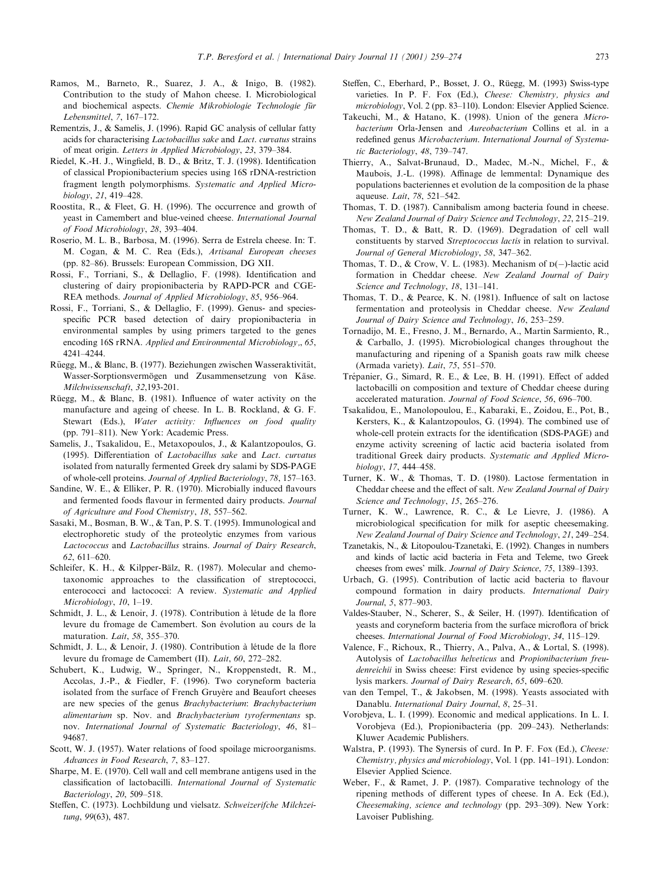- Ramos, M., Barneto, R., Suarez, J. A., & Inigo, B. (1982). Contribution to the study of Mahon cheese. I. Microbiological and biochemical aspects. Chemie Mikrobiologie Technologie für Lebensmittel, 7, 167–172.
- Rementzis, J., & Samelis, J. (1996). Rapid GC analysis of cellular fatty acids for characterising Lactobacillus sake and Lact. curvatus strains of meat origin. Letters in Applied Microbiology, 23, 379–384.
- Riedel, K.-H. J., Wingfield, B. D., & Britz, T. J. (1998). Identification of classical Propionibacterium species using16S rDNA-restriction fragment length polymorphisms. Systematic and Applied Microbiology, 21, 419–428.
- Roostita, R., & Fleet, G. H. (1996). The occurrence and growth of yeast in Camembert and blue-veined cheese. International Journal of Food Microbiology, 28, 393–404.
- Roserio, M. L. B., Barbosa, M. (1996). Serra de Estrela cheese. In: T. M. Cogan, & M. C. Rea (Eds.), Artisanal European cheeses (pp. 82–86). Brussels: European Commission, DG XII.
- Rossi, F., Torriani, S., & Dellaglio, F. (1998). Identification and clustering of dairy propionibacteria by RAPD-PCR and CGE-REA methods. Journal of Applied Microbiology, 85, 956–964.
- Rossi, F., Torriani, S., & Dellaglio, F. (1999). Genus- and speciesspecific PCR based detection of dairy propionibacteria in environmental samples by using primers targeted to the genes encoding 16S rRNA. Applied and Environmental Microbiology,, 65, 4241–4244.
- Rüegg, M., & Blanc, B. (1977). Beziehungen zwischen Wasseraktivität, Wasser-Sorptionsvermögen und Zusammensetzung von Käse. Milchwissenschaft, 32,193-201.
- Rüegg, M., & Blanc, B. (1981). Influence of water activity on the manufacture and ageing of cheese. In L. B. Rockland, & G. F. Stewart (Eds.), Water activity: Influences on food quality (pp. 791–811). New York: Academic Press.
- Samelis, J., Tsakalidou, E., Metaxopoulos, J., & Kalantzopoulos, G. (1995). Differentiation of Lactobacillus sake and Lact. curvatus isolated from naturally fermented Greek dry salami by SDS-PAGE of whole-cell proteins. Journal of Applied Bacteriology, 78, 157–163.
- Sandine, W. E., & Elliker, P. R. (1970). Microbially induced flavours and fermented foods flavour in fermented dairy products. Journal of Agriculture and Food Chemistry, 18, 557–562.
- Sasaki, M., Bosman, B. W., & Tan, P. S. T. (1995). Immunological and electrophoretic study of the proteolytic enzymes from various Lactococcus and Lactobacillus strains. Journal of Dairy Research, 62, 611–620.
- Schleifer, K. H., & Kilpper-Bälz, R. (1987). Molecular and chemotaxonomic approaches to the classification of streptococci, enterococci and lactococci: A review. Systematic and Applied Microbiology, 10, 1–19.
- Schmidt, J. L., & Lenoir, J. (1978). Contribution à létude de la flore levure du fromage de Camembert. Son évolution au cours de la maturation. Lait, 58, 355–370.
- Schmidt, J. L., & Lenoir, J. (1980). Contribution à létude de la flore levure du fromage de Camembert (II). Lait, 60, 272–282.
- Schubert, K., Ludwig, W., Springer, N., Kroppenstedt, R. M., Accolas, J.-P., & Fiedler, F. (1996). Two coryneform bacteria isolated from the surface of French Gruyère and Beaufort cheeses are new species of the genus Brachybacterium: Brachybacterium alimentarium sp. Nov. and Brachybacterium tyrofermentans sp. nov. International Journal of Systematic Bacteriology, 46, 81– 94687.
- Scott, W. J. (1957). Water relations of food spoilage microorganisms. Advances in Food Research, 7, 83–127.
- Sharpe, M. E. (1970). Cell wall and cell membrane antigens used in the classification of lactobacilli. International Journal of Systematic Bacteriology, 20, 509–518.
- Steffen, C. (1973). Lochbildung und vielsatz. Schweizerifche Milchzeitung, 99(63), 487.
- Steffen, C., Eberhard, P., Bosset, J. O., Rüegg, M. (1993) Swiss-type varieties. In P. F. Fox (Ed.), Cheese: Chemistry, physics and microbiology, Vol. 2 (pp. 83–110). London: Elsevier Applied Science.
- Takeuchi, M., & Hatano, K. (1998). Union of the genera Microbacterium Orla-Jensen and Aureobacterium Collins et al. in a redefined genus Microbacterium. International Journal of Systematic Bacteriology, 48, 739–747.
- Thierry, A., Salvat-Brunaud, D., Madec, M.-N., Michel, F., & Maubois, J.-L. (1998). Affinage de lemmental: Dynamique des populations bacteriennes et evolution de la composition de la phase aqueuse. Lait, 78, 521–542.
- Thomas, T. D. (1987). Cannibalism among bacteria found in cheese. NewZealand Journal of Dairy Science and Technology, 22, 215–219.
- Thomas, T. D., & Batt, R. D. (1969). Degradation of cell wall constituents by starved Streptococcus lactis in relation to survival. Journal of General Microbiology, 58, 347–362.
- Thomas, T. D., & Crow, V. L. (1983). Mechanism of  $D(-)$ -lactic acid formation in Cheddar cheese. New Zealand Journal of Dairy Science and Technology, 18, 131–141.
- Thomas, T. D., & Pearce, K. N. (1981). Influence of salt on lactose fermentation and proteolysis in Cheddar cheese. New Zealand Journal of Dairy Science and Technology, 16, 253–259.
- Tornadijo, M. E., Fresno, J. M., Bernardo, A., Martin Sarmiento, R., & Carballo, J. (1995). Microbiological changes throughout the manufacturing and ripening of a Spanish goats raw milk cheese (Armada variety). Lait, 75, 551–570.
- Trépanier, G., Simard, R. E., & Lee, B. H. (1991). Effect of added lactobacilli on composition and texture of Cheddar cheese during accelerated maturation. Journal of Food Science, 56, 696–700.
- Tsakalidou, E., Manolopoulou, E., Kabaraki, E., Zoidou, E., Pot, B., Kersters, K., & Kalantzopoulos, G. (1994). The combined use of whole-cell protein extracts for the identification (SDS-PAGE) and enzyme activity screening of lactic acid bacteria isolated from traditional Greek dairy products. Systematic and Applied Microbiology, 17, 444–458.
- Turner, K. W., & Thomas, T. D. (1980). Lactose fermentation in Cheddar cheese and the effect of salt. New Zealand Journal of Dairy Science and Technology, 15, 265–276.
- Turner, K. W., Lawrence, R. C., & Le Lievre, J. (1986). A microbiological specification for milk for aseptic cheesemaking. NewZealand Journal of Dairy Science and Technology, 21, 249–254.
- Tzanetakis, N., & Litopoulou-Tzanetaki, E. (1992). Changes in numbers and kinds of lactic acid bacteria in Feta and Teleme, two Greek cheeses from ewes' milk. Journal of Dairy Science, 75, 1389–1393.
- Urbach, G. (1995). Contribution of lactic acid bacteria to flavour compound formation in dairy products. International Dairy Journal, 5, 877–903.
- Valdes-Stauber, N., Scherer, S., & Seiler, H. (1997). Identification of yeasts and coryneform bacteria from the surface microflora of brick cheeses. International Journal of Food Microbiology, 34, 115–129.
- Valence, F., Richoux, R., Thierry, A., Palva, A., & Lortal, S. (1998). Autolysis of Lactobacillus helveticus and Propionibacterium freudenreichii in Swiss cheese: First evidence by using species-specific lysis markers. Journal of Dairy Research, 65, 609–620.
- van den Tempel, T., & Jakobsen, M. (1998). Yeasts associated with Danablu. International Dairy Journal, 8, 25–31.
- Vorobjeva, L. I. (1999). Economic and medical applications. In L. I. Vorobjeva (Ed.), Propionibacteria (pp. 209–243). Netherlands: Kluwer Academic Publishers.
- Walstra, P. (1993). The Synersis of curd. In P. F. Fox (Ed.), Cheese: Chemistry, physics and microbiology, Vol. 1 (pp. 141–191). London: Elsevier Applied Science.
- Weber, F., & Ramet, J. P. (1987). Comparative technology of the ripening methods of different types of cheese. In A. Eck (Ed.), Cheesemaking, science and technology (pp. 293–309). New York: Lavoiser Publishing.